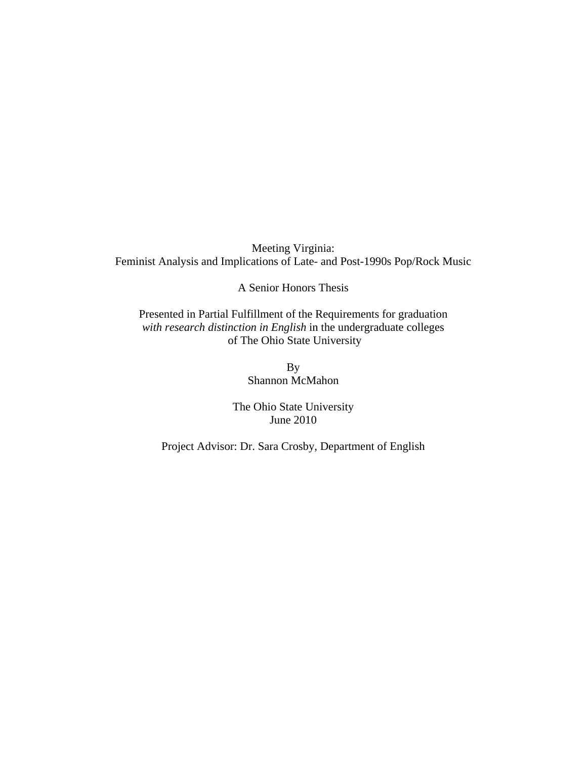Meeting Virginia: Feminist Analysis and Implications of Late- and Post-1990s Pop/Rock Music

A Senior Honors Thesis

Presented in Partial Fulfillment of the Requirements for graduation with research distinction in English in the undergraduate colleges of The Ohio State University

> By Shannon McMahon

The Ohio State University June 2010

Project Advisor: Dr. Sara Crosby, Department of English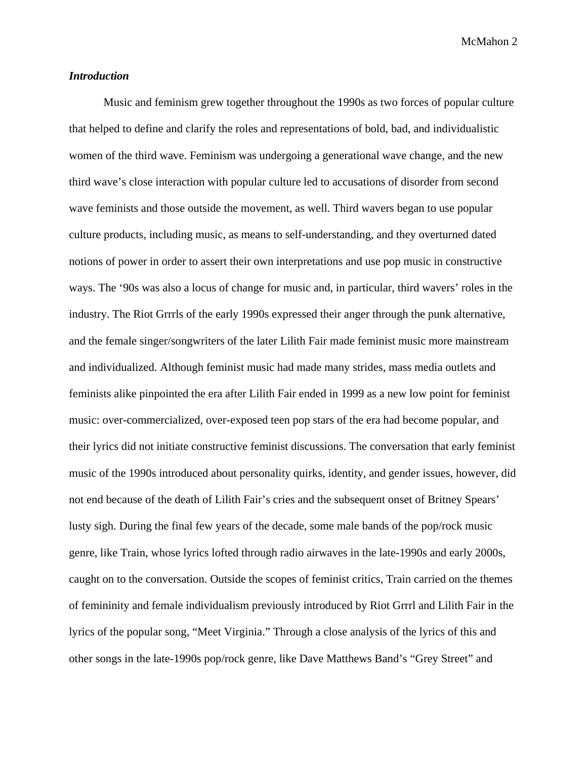# *Introduction*

 Music and feminism grew together throughout the 1990s as two forces of popular culture that helped to define and clarify the roles and representations of bold, bad, and individualistic women of the third wave. Feminism was undergoing a generational wave change, and the new third wave's close interaction with popular culture led to accusations of disorder from second wave feminists and those outside the movement, as well. Third wavers began to use popular culture products, including music, as means to self-understanding, and they overturned dated notions of power in order to assert their own interpretations and use pop music in constructive ways. The '90s was also a locus of change for music and, in particular, third wavers' roles in the industry. The Riot Grrrls of the early 1990s expressed their anger through the punk alternative, and the female singer/songwriters of the later Lilith Fair made feminist music more mainstream and individualized. Although feminist music had made many strides, mass media outlets and feminists alike pinpointed the era after Lilith Fair ended in 1999 as a new low point for feminist music: over-commercialized, over-exposed teen pop stars of the era had become popular, and their lyrics did not initiate constructive feminist discussions. The conversation that early feminist music of the 1990s introduced about personality quirks, identity, and gender issues, however, did not end because of the death of Lilith Fair's cries and the subsequent onset of Britney Spears' lusty sigh. During the final few years of the decade, some male bands of the pop/rock music genre, like Train, whose lyrics lofted through radio airwaves in the late-1990s and early 2000s, caught on to the conversation. Outside the scopes of feminist critics, Train carried on the themes of femininity and female individualism previously introduced by Riot Grrrl and Lilith Fair in the lyrics of the popular song, "Meet Virginia." Through a close analysis of the lyrics of this and other songs in the late-1990s pop/rock genre, like Dave Matthews Band's "Grey Street" and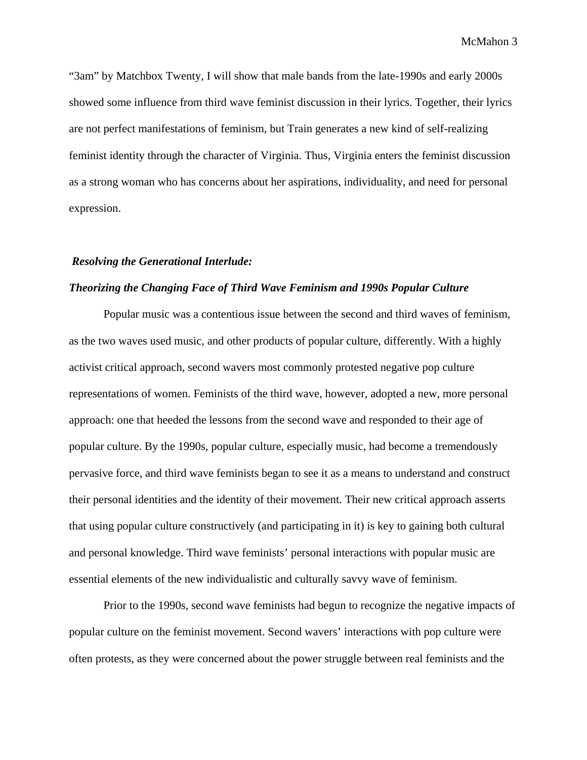"3am" by Matchbox Twenty, I will show that male bands from the late-1990s and early 2000s showed some influence from third wave feminist discussion in their lyrics. Together, their lyrics are not perfect manifestations of feminism, but Train generates a new kind of self-realizing feminist identity through the character of Virginia. Thus, Virginia enters the feminist discussion as a strong woman who has concerns about her aspirations, individuality, and need for personal expression.

#### *Resolving the Generational Interlude:*

#### *Theorizing the Changing Face of Third Wave Feminism and 1990s Popular Culture*

Popular music was a contentious issue between the second and third waves of feminism, as the two waves used music, and other products of popular culture, differently. With a highly activist critical approach, second wavers most commonly protested negative pop culture representations of women. Feminists of the third wave, however, adopted a new, more personal approach: one that heeded the lessons from the second wave and responded to their age of popular culture. By the 1990s, popular culture, especially music, had become a tremendously pervasive force, and third wave feminists began to see it as a means to understand and construct their personal identities and the identity of their movement. Their new critical approach asserts that using popular culture constructively (and participating in it) is key to gaining both cultural and personal knowledge. Third wave feminists' personal interactions with popular music are essential elements of the new individualistic and culturally savvy wave of feminism.

Prior to the 1990s, second wave feminists had begun to recognize the negative impacts of popular culture on the feminist movement. Second wavers' interactions with pop culture were often protests, as they were concerned about the power struggle between real feminists and the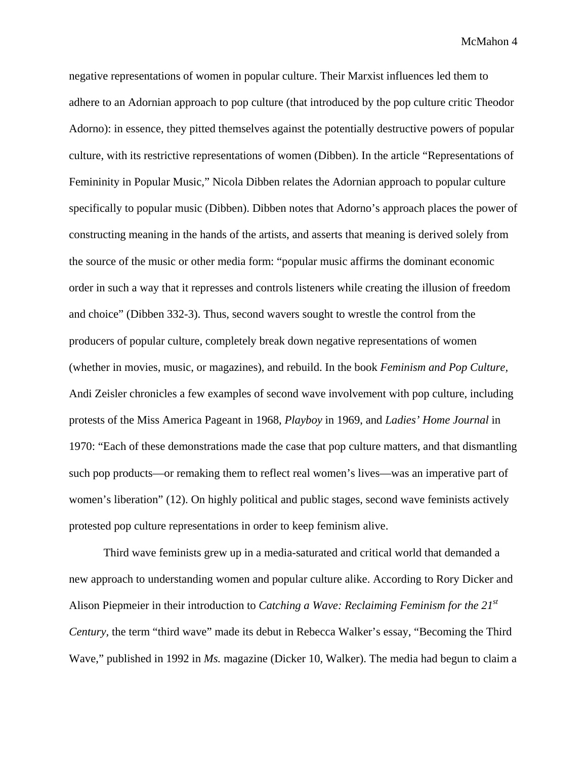negative representations of women in popular culture. Their Marxist influences led them to adhere to an Adornian approach to pop culture (that introduced by the pop culture critic Theodor Adorno): in essence, they pitted themselves against the potentially destructive powers of popular culture, with its restrictive representations of women (Dibben). In the article "Representations of Femininity in Popular Music," Nicola Dibben relates the Adornian approach to popular culture specifically to popular music (Dibben). Dibben notes that Adorno's approach places the power of constructing meaning in the hands of the artists, and asserts that meaning is derived solely from the source of the music or other media form: "popular music affirms the dominant economic order in such a way that it represses and controls listeners while creating the illusion of freedom and choice" (Dibben 332-3). Thus, second wavers sought to wrestle the control from the producers of popular culture, completely break down negative representations of women (whether in movies, music, or magazines), and rebuild. In the book *Feminism and Pop Culture,*  Andi Zeisler chronicles a few examples of second wave involvement with pop culture, including protests of the Miss America Pageant in 1968, *Playboy* in 1969, and *Ladies' Home Journal* in 1970: "Each of these demonstrations made the case that pop culture matters, and that dismantling such pop products—or remaking them to reflect real women's lives—was an imperative part of women's liberation" (12). On highly political and public stages, second wave feminists actively protested pop culture representations in order to keep feminism alive.

 Third wave feminists grew up in a media-saturated and critical world that demanded a new approach to understanding women and popular culture alike. According to Rory Dicker and Alison Piepmeier in their introduction to *Catching a Wave: Reclaiming Feminism for the 21st Century,* the term "third wave" made its debut in Rebecca Walker's essay, "Becoming the Third Wave," published in 1992 in *Ms.* magazine (Dicker 10, Walker). The media had begun to claim a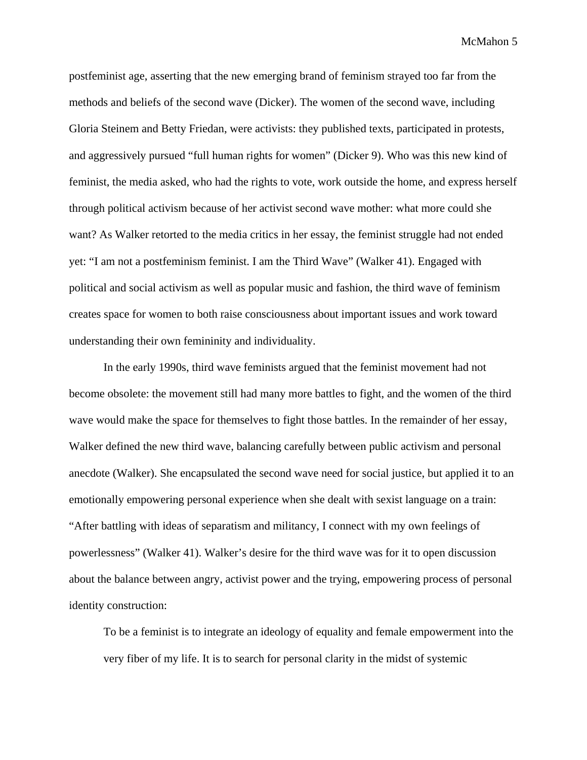postfeminist age, asserting that the new emerging brand of feminism strayed too far from the methods and beliefs of the second wave (Dicker). The women of the second wave, including Gloria Steinem and Betty Friedan, were activists: they published texts, participated in protests, and aggressively pursued "full human rights for women" (Dicker 9). Who was this new kind of feminist, the media asked, who had the rights to vote, work outside the home, and express herself through political activism because of her activist second wave mother: what more could she want? As Walker retorted to the media critics in her essay, the feminist struggle had not ended yet: "I am not a postfeminism feminist. I am the Third Wave" (Walker 41). Engaged with political and social activism as well as popular music and fashion, the third wave of feminism creates space for women to both raise consciousness about important issues and work toward understanding their own femininity and individuality.

In the early 1990s, third wave feminists argued that the feminist movement had not become obsolete: the movement still had many more battles to fight, and the women of the third wave would make the space for themselves to fight those battles. In the remainder of her essay, Walker defined the new third wave, balancing carefully between public activism and personal anecdote (Walker). She encapsulated the second wave need for social justice, but applied it to an emotionally empowering personal experience when she dealt with sexist language on a train: "After battling with ideas of separatism and militancy, I connect with my own feelings of powerlessness" (Walker 41). Walker's desire for the third wave was for it to open discussion about the balance between angry, activist power and the trying, empowering process of personal identity construction:

To be a feminist is to integrate an ideology of equality and female empowerment into the very fiber of my life. It is to search for personal clarity in the midst of systemic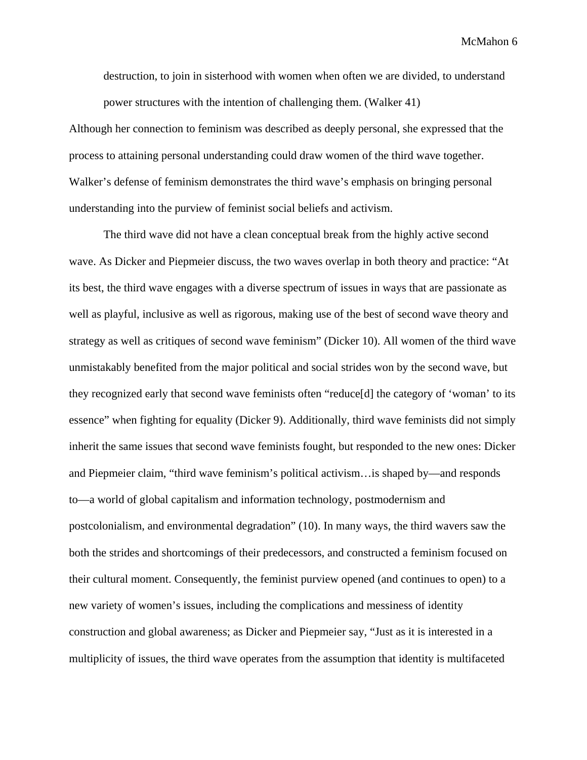destruction, to join in sisterhood with women when often we are divided, to understand power structures with the intention of challenging them. (Walker 41)

Although her connection to feminism was described as deeply personal, she expressed that the process to attaining personal understanding could draw women of the third wave together. Walker's defense of feminism demonstrates the third wave's emphasis on bringing personal understanding into the purview of feminist social beliefs and activism.

The third wave did not have a clean conceptual break from the highly active second wave. As Dicker and Piepmeier discuss, the two waves overlap in both theory and practice: "At its best, the third wave engages with a diverse spectrum of issues in ways that are passionate as well as playful, inclusive as well as rigorous, making use of the best of second wave theory and strategy as well as critiques of second wave feminism" (Dicker 10). All women of the third wave unmistakably benefited from the major political and social strides won by the second wave, but they recognized early that second wave feminists often "reduce[d] the category of 'woman' to its essence" when fighting for equality (Dicker 9). Additionally, third wave feminists did not simply inherit the same issues that second wave feminists fought, but responded to the new ones: Dicker and Piepmeier claim, "third wave feminism's political activism…is shaped by—and responds to—a world of global capitalism and information technology, postmodernism and postcolonialism, and environmental degradation" (10). In many ways, the third wavers saw the both the strides and shortcomings of their predecessors, and constructed a feminism focused on their cultural moment. Consequently, the feminist purview opened (and continues to open) to a new variety of women's issues, including the complications and messiness of identity construction and global awareness; as Dicker and Piepmeier say, "Just as it is interested in a multiplicity of issues, the third wave operates from the assumption that identity is multifaceted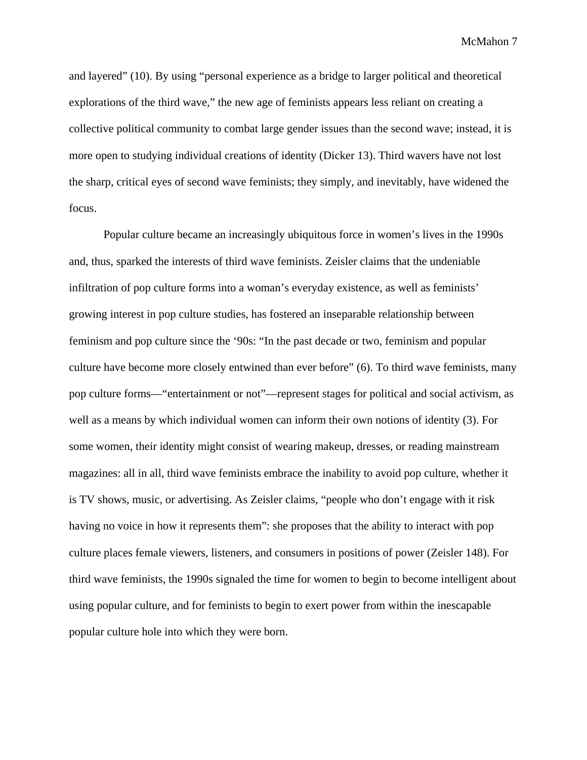and layered" (10). By using "personal experience as a bridge to larger political and theoretical explorations of the third wave," the new age of feminists appears less reliant on creating a collective political community to combat large gender issues than the second wave; instead, it is more open to studying individual creations of identity (Dicker 13). Third wavers have not lost the sharp, critical eyes of second wave feminists; they simply, and inevitably, have widened the focus.

Popular culture became an increasingly ubiquitous force in women's lives in the 1990s and, thus, sparked the interests of third wave feminists. Zeisler claims that the undeniable infiltration of pop culture forms into a woman's everyday existence, as well as feminists' growing interest in pop culture studies, has fostered an inseparable relationship between feminism and pop culture since the '90s: "In the past decade or two, feminism and popular culture have become more closely entwined than ever before" (6). To third wave feminists, many pop culture forms—"entertainment or not"—represent stages for political and social activism, as well as a means by which individual women can inform their own notions of identity (3). For some women, their identity might consist of wearing makeup, dresses, or reading mainstream magazines: all in all, third wave feminists embrace the inability to avoid pop culture, whether it is TV shows, music, or advertising. As Zeisler claims, "people who don't engage with it risk having no voice in how it represents them": she proposes that the ability to interact with pop culture places female viewers, listeners, and consumers in positions of power (Zeisler 148). For third wave feminists, the 1990s signaled the time for women to begin to become intelligent about using popular culture, and for feminists to begin to exert power from within the inescapable popular culture hole into which they were born.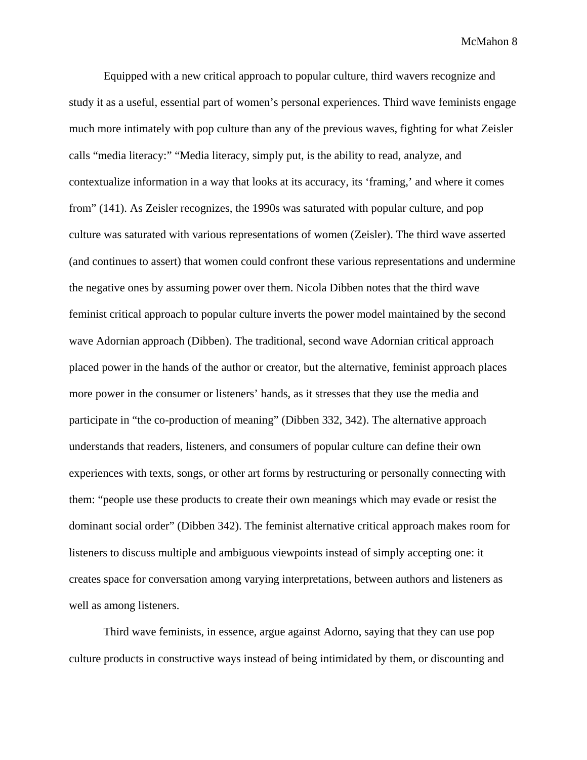Equipped with a new critical approach to popular culture, third wavers recognize and study it as a useful, essential part of women's personal experiences. Third wave feminists engage much more intimately with pop culture than any of the previous waves, fighting for what Zeisler calls "media literacy:" "Media literacy, simply put, is the ability to read, analyze, and contextualize information in a way that looks at its accuracy, its 'framing,' and where it comes from" (141). As Zeisler recognizes, the 1990s was saturated with popular culture, and pop culture was saturated with various representations of women (Zeisler). The third wave asserted (and continues to assert) that women could confront these various representations and undermine the negative ones by assuming power over them. Nicola Dibben notes that the third wave feminist critical approach to popular culture inverts the power model maintained by the second wave Adornian approach (Dibben). The traditional, second wave Adornian critical approach placed power in the hands of the author or creator, but the alternative, feminist approach places more power in the consumer or listeners' hands, as it stresses that they use the media and participate in "the co-production of meaning" (Dibben 332, 342). The alternative approach understands that readers, listeners, and consumers of popular culture can define their own experiences with texts, songs, or other art forms by restructuring or personally connecting with them: "people use these products to create their own meanings which may evade or resist the dominant social order" (Dibben 342). The feminist alternative critical approach makes room for listeners to discuss multiple and ambiguous viewpoints instead of simply accepting one: it creates space for conversation among varying interpretations, between authors and listeners as well as among listeners.

Third wave feminists, in essence, argue against Adorno, saying that they can use pop culture products in constructive ways instead of being intimidated by them, or discounting and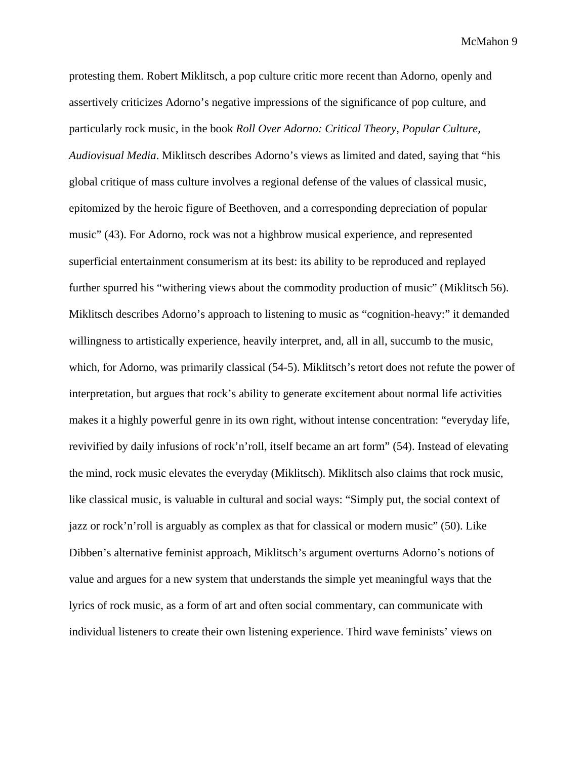protesting them. Robert Miklitsch, a pop culture critic more recent than Adorno, openly and assertively criticizes Adorno's negative impressions of the significance of pop culture, and particularly rock music, in the book *Roll Over Adorno: Critical Theory, Popular Culture, Audiovisual Media*. Miklitsch describes Adorno's views as limited and dated, saying that "his global critique of mass culture involves a regional defense of the values of classical music, epitomized by the heroic figure of Beethoven, and a corresponding depreciation of popular music" (43). For Adorno, rock was not a highbrow musical experience, and represented superficial entertainment consumerism at its best: its ability to be reproduced and replayed further spurred his "withering views about the commodity production of music" (Miklitsch 56). Miklitsch describes Adorno's approach to listening to music as "cognition-heavy:" it demanded willingness to artistically experience, heavily interpret, and, all in all, succumb to the music, which, for Adorno, was primarily classical (54-5). Miklitsch's retort does not refute the power of interpretation, but argues that rock's ability to generate excitement about normal life activities makes it a highly powerful genre in its own right, without intense concentration: "everyday life, revivified by daily infusions of rock'n'roll, itself became an art form" (54). Instead of elevating the mind, rock music elevates the everyday (Miklitsch). Miklitsch also claims that rock music, like classical music, is valuable in cultural and social ways: "Simply put, the social context of jazz or rock'n'roll is arguably as complex as that for classical or modern music" (50). Like Dibben's alternative feminist approach, Miklitsch's argument overturns Adorno's notions of value and argues for a new system that understands the simple yet meaningful ways that the lyrics of rock music, as a form of art and often social commentary, can communicate with individual listeners to create their own listening experience. Third wave feminists' views on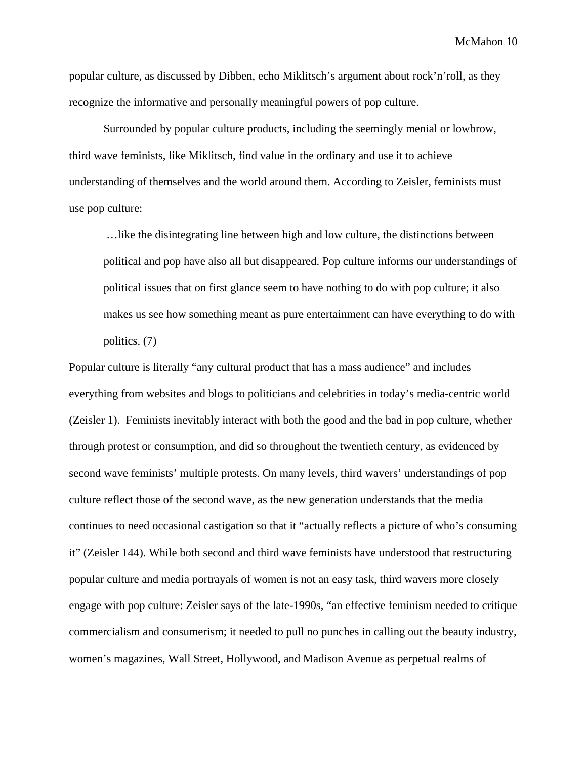popular culture, as discussed by Dibben, echo Miklitsch's argument about rock'n'roll, as they recognize the informative and personally meaningful powers of pop culture.

Surrounded by popular culture products, including the seemingly menial or lowbrow, third wave feminists, like Miklitsch, find value in the ordinary and use it to achieve understanding of themselves and the world around them. According to Zeisler*,* feminists must use pop culture:

…like the disintegrating line between high and low culture, the distinctions between political and pop have also all but disappeared. Pop culture informs our understandings of political issues that on first glance seem to have nothing to do with pop culture; it also makes us see how something meant as pure entertainment can have everything to do with politics. (7)

Popular culture is literally "any cultural product that has a mass audience" and includes everything from websites and blogs to politicians and celebrities in today's media-centric world (Zeisler 1). Feminists inevitably interact with both the good and the bad in pop culture, whether through protest or consumption, and did so throughout the twentieth century, as evidenced by second wave feminists' multiple protests. On many levels, third wavers' understandings of pop culture reflect those of the second wave, as the new generation understands that the media continues to need occasional castigation so that it "actually reflects a picture of who's consuming it" (Zeisler 144). While both second and third wave feminists have understood that restructuring popular culture and media portrayals of women is not an easy task, third wavers more closely engage with pop culture: Zeisler says of the late-1990s, "an effective feminism needed to critique commercialism and consumerism; it needed to pull no punches in calling out the beauty industry, women's magazines, Wall Street, Hollywood, and Madison Avenue as perpetual realms of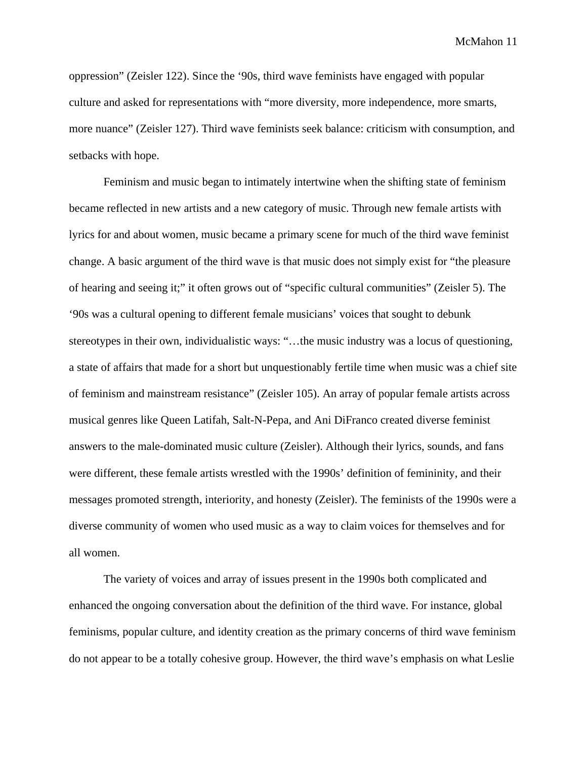oppression" (Zeisler 122). Since the '90s, third wave feminists have engaged with popular culture and asked for representations with "more diversity, more independence, more smarts, more nuance" (Zeisler 127). Third wave feminists seek balance: criticism with consumption, and setbacks with hope.

Feminism and music began to intimately intertwine when the shifting state of feminism became reflected in new artists and a new category of music. Through new female artists with lyrics for and about women, music became a primary scene for much of the third wave feminist change. A basic argument of the third wave is that music does not simply exist for "the pleasure of hearing and seeing it;" it often grows out of "specific cultural communities" (Zeisler 5). The '90s was a cultural opening to different female musicians' voices that sought to debunk stereotypes in their own, individualistic ways: "…the music industry was a locus of questioning, a state of affairs that made for a short but unquestionably fertile time when music was a chief site of feminism and mainstream resistance" (Zeisler 105). An array of popular female artists across musical genres like Queen Latifah, Salt-N-Pepa, and Ani DiFranco created diverse feminist answers to the male-dominated music culture (Zeisler). Although their lyrics, sounds, and fans were different, these female artists wrestled with the 1990s' definition of femininity, and their messages promoted strength, interiority, and honesty (Zeisler). The feminists of the 1990s were a diverse community of women who used music as a way to claim voices for themselves and for all women.

The variety of voices and array of issues present in the 1990s both complicated and enhanced the ongoing conversation about the definition of the third wave. For instance, global feminisms, popular culture, and identity creation as the primary concerns of third wave feminism do not appear to be a totally cohesive group. However, the third wave's emphasis on what Leslie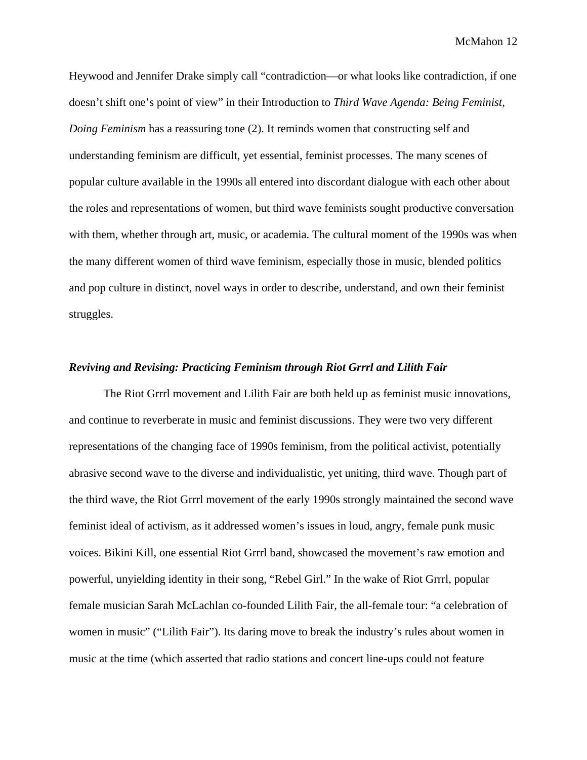Heywood and Jennifer Drake simply call "contradiction—or what looks like contradiction, if one doesn't shift one's point of view" in their Introduction to *Third Wave Agenda: Being Feminist, Doing Feminism* has a reassuring tone (2). It reminds women that constructing self and understanding feminism are difficult, yet essential, feminist processes. The many scenes of popular culture available in the 1990s all entered into discordant dialogue with each other about the roles and representations of women, but third wave feminists sought productive conversation with them, whether through art, music, or academia. The cultural moment of the 1990s was when the many different women of third wave feminism, especially those in music, blended politics and pop culture in distinct, novel ways in order to describe, understand, and own their feminist struggles.

## *Reviving and Revising: Practicing Feminism through Riot Grrrl and Lilith Fair*

 The Riot Grrrl movement and Lilith Fair are both held up as feminist music innovations, and continue to reverberate in music and feminist discussions. They were two very different representations of the changing face of 1990s feminism, from the political activist, potentially abrasive second wave to the diverse and individualistic, yet uniting, third wave. Though part of the third wave, the Riot Grrrl movement of the early 1990s strongly maintained the second wave feminist ideal of activism, as it addressed women's issues in loud, angry, female punk music voices. Bikini Kill, one essential Riot Grrrl band, showcased the movement's raw emotion and powerful, unyielding identity in their song, "Rebel Girl." In the wake of Riot Grrrl, popular female musician Sarah McLachlan co-founded Lilith Fair, the all-female tour: "a celebration of women in music" ("Lilith Fair"). Its daring move to break the industry's rules about women in music at the time (which asserted that radio stations and concert line-ups could not feature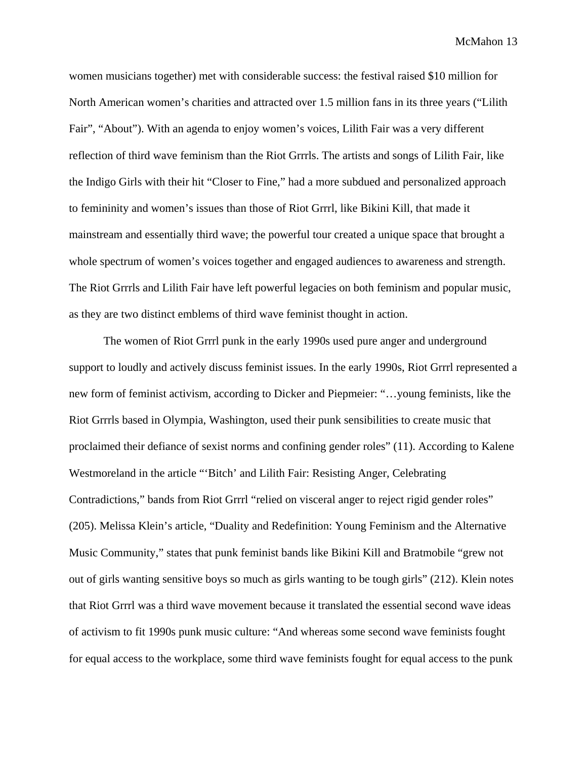women musicians together) met with considerable success: the festival raised \$10 million for North American women's charities and attracted over 1.5 million fans in its three years ("Lilith Fair", "About"). With an agenda to enjoy women's voices, Lilith Fair was a very different reflection of third wave feminism than the Riot Grrrls. The artists and songs of Lilith Fair, like the Indigo Girls with their hit "Closer to Fine," had a more subdued and personalized approach to femininity and women's issues than those of Riot Grrrl, like Bikini Kill, that made it mainstream and essentially third wave; the powerful tour created a unique space that brought a whole spectrum of women's voices together and engaged audiences to awareness and strength. The Riot Grrrls and Lilith Fair have left powerful legacies on both feminism and popular music, as they are two distinct emblems of third wave feminist thought in action.

 The women of Riot Grrrl punk in the early 1990s used pure anger and underground support to loudly and actively discuss feminist issues. In the early 1990s, Riot Grrrl represented a new form of feminist activism, according to Dicker and Piepmeier: "…young feminists, like the Riot Grrrls based in Olympia, Washington, used their punk sensibilities to create music that proclaimed their defiance of sexist norms and confining gender roles" (11). According to Kalene Westmoreland in the article "'Bitch' and Lilith Fair: Resisting Anger, Celebrating Contradictions," bands from Riot Grrrl "relied on visceral anger to reject rigid gender roles" (205). Melissa Klein's article, "Duality and Redefinition: Young Feminism and the Alternative Music Community," states that punk feminist bands like Bikini Kill and Bratmobile "grew not out of girls wanting sensitive boys so much as girls wanting to be tough girls" (212). Klein notes that Riot Grrrl was a third wave movement because it translated the essential second wave ideas of activism to fit 1990s punk music culture: "And whereas some second wave feminists fought for equal access to the workplace, some third wave feminists fought for equal access to the punk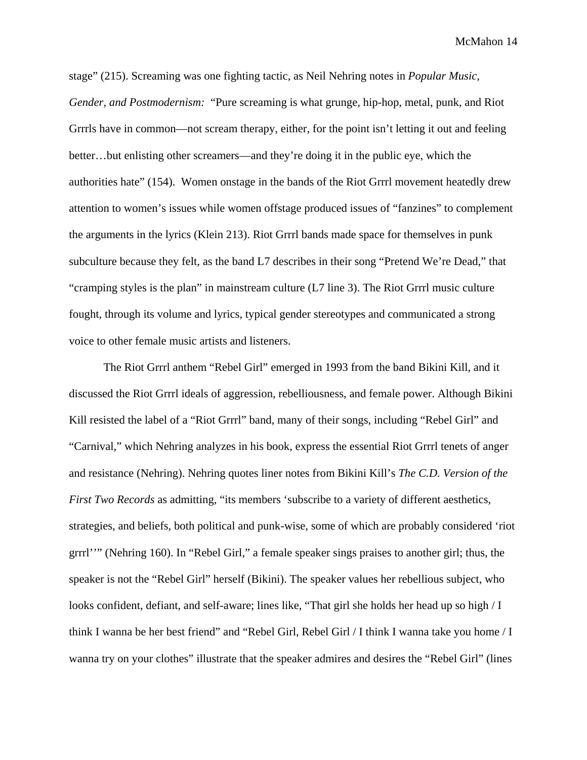stage" (215). Screaming was one fighting tactic, as Neil Nehring notes in *Popular Music, Gender, and Postmodernism:* "Pure screaming is what grunge, hip-hop, metal, punk, and Riot Grrrls have in common—not scream therapy, either, for the point isn't letting it out and feeling better…but enlisting other screamers—and they're doing it in the public eye, which the authorities hate" (154). Women onstage in the bands of the Riot Grrrl movement heatedly drew attention to women's issues while women offstage produced issues of "fanzines" to complement the arguments in the lyrics (Klein 213). Riot Grrrl bands made space for themselves in punk subculture because they felt, as the band L7 describes in their song "Pretend We're Dead," that "cramping styles is the plan" in mainstream culture (L7 line 3). The Riot Grrrl music culture fought, through its volume and lyrics, typical gender stereotypes and communicated a strong voice to other female music artists and listeners.

The Riot Grrrl anthem "Rebel Girl" emerged in 1993 from the band Bikini Kill, and it discussed the Riot Grrrl ideals of aggression, rebelliousness, and female power. Although Bikini Kill resisted the label of a "Riot Grrrl" band, many of their songs, including "Rebel Girl" and "Carnival," which Nehring analyzes in his book, express the essential Riot Grrrl tenets of anger and resistance (Nehring). Nehring quotes liner notes from Bikini Kill's *The C.D. Version of the First Two Records* as admitting, "its members 'subscribe to a variety of different aesthetics, strategies, and beliefs, both political and punk-wise, some of which are probably considered 'riot grrrl''" (Nehring 160). In "Rebel Girl," a female speaker sings praises to another girl; thus, the speaker is not the "Rebel Girl" herself (Bikini). The speaker values her rebellious subject, who looks confident, defiant, and self-aware; lines like, "That girl she holds her head up so high / I think I wanna be her best friend" and "Rebel Girl, Rebel Girl / I think I wanna take you home / I wanna try on your clothes" illustrate that the speaker admires and desires the "Rebel Girl" (lines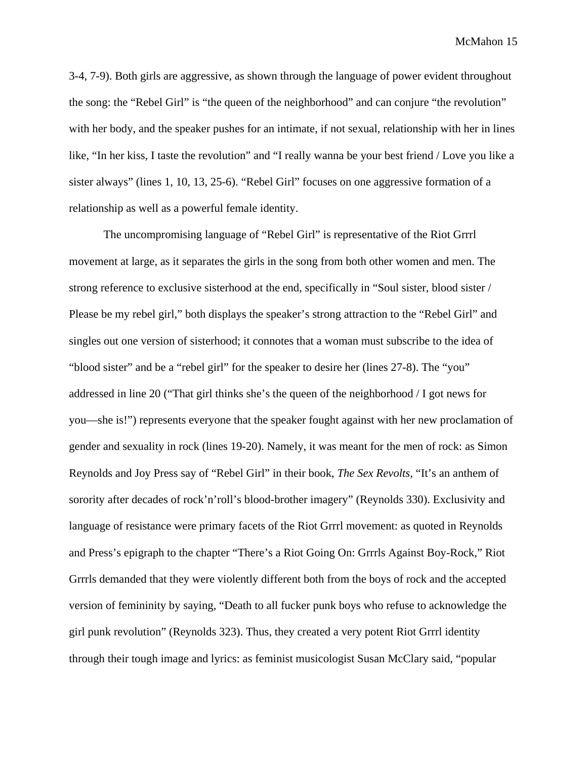3-4, 7-9). Both girls are aggressive, as shown through the language of power evident throughout the song: the "Rebel Girl" is "the queen of the neighborhood" and can conjure "the revolution" with her body, and the speaker pushes for an intimate, if not sexual, relationship with her in lines like, "In her kiss, I taste the revolution" and "I really wanna be your best friend / Love you like a sister always" (lines 1, 10, 13, 25-6). "Rebel Girl" focuses on one aggressive formation of a relationship as well as a powerful female identity.

The uncompromising language of "Rebel Girl" is representative of the Riot Grrrl movement at large, as it separates the girls in the song from both other women and men. The strong reference to exclusive sisterhood at the end, specifically in "Soul sister, blood sister / Please be my rebel girl," both displays the speaker's strong attraction to the "Rebel Girl" and singles out one version of sisterhood; it connotes that a woman must subscribe to the idea of "blood sister" and be a "rebel girl" for the speaker to desire her (lines 27-8). The "you" addressed in line 20 ("That girl thinks she's the queen of the neighborhood / I got news for you—she is!") represents everyone that the speaker fought against with her new proclamation of gender and sexuality in rock (lines 19-20). Namely, it was meant for the men of rock: as Simon Reynolds and Joy Press say of "Rebel Girl" in their book, *The Sex Revolts*, "It's an anthem of sorority after decades of rock'n'roll's blood-brother imagery" (Reynolds 330). Exclusivity and language of resistance were primary facets of the Riot Grrrl movement: as quoted in Reynolds and Press's epigraph to the chapter "There's a Riot Going On: Grrrls Against Boy-Rock," Riot Grrrls demanded that they were violently different both from the boys of rock and the accepted version of femininity by saying, "Death to all fucker punk boys who refuse to acknowledge the girl punk revolution" (Reynolds 323). Thus, they created a very potent Riot Grrrl identity through their tough image and lyrics: as feminist musicologist Susan McClary said, "popular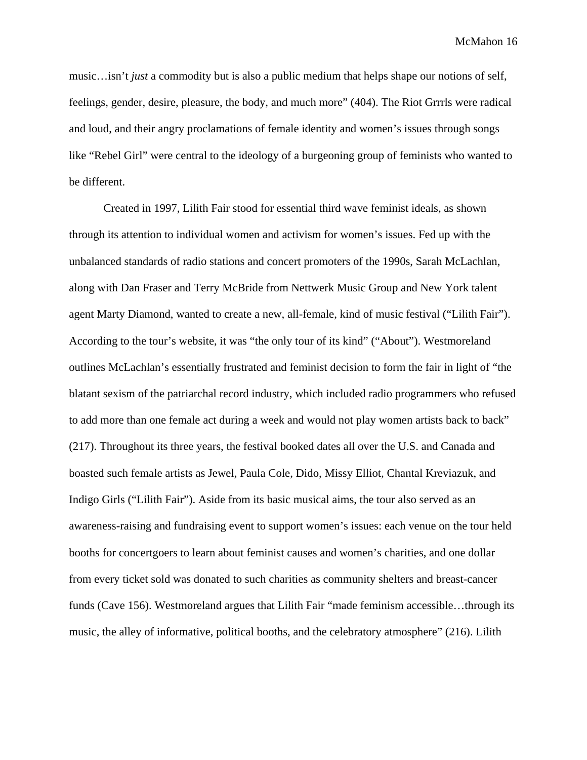music…isn't *just* a commodity but is also a public medium that helps shape our notions of self, feelings, gender, desire, pleasure, the body, and much more" (404). The Riot Grrrls were radical and loud, and their angry proclamations of female identity and women's issues through songs like "Rebel Girl" were central to the ideology of a burgeoning group of feminists who wanted to be different.

Created in 1997, Lilith Fair stood for essential third wave feminist ideals, as shown through its attention to individual women and activism for women's issues. Fed up with the unbalanced standards of radio stations and concert promoters of the 1990s, Sarah McLachlan, along with Dan Fraser and Terry McBride from Nettwerk Music Group and New York talent agent Marty Diamond, wanted to create a new, all-female, kind of music festival ("Lilith Fair"). According to the tour's website, it was "the only tour of its kind" ("About"). Westmoreland outlines McLachlan's essentially frustrated and feminist decision to form the fair in light of "the blatant sexism of the patriarchal record industry, which included radio programmers who refused to add more than one female act during a week and would not play women artists back to back" (217). Throughout its three years, the festival booked dates all over the U.S. and Canada and boasted such female artists as Jewel, Paula Cole, Dido, Missy Elliot, Chantal Kreviazuk, and Indigo Girls ("Lilith Fair"). Aside from its basic musical aims, the tour also served as an awareness-raising and fundraising event to support women's issues: each venue on the tour held booths for concertgoers to learn about feminist causes and women's charities, and one dollar from every ticket sold was donated to such charities as community shelters and breast-cancer funds (Cave 156). Westmoreland argues that Lilith Fair "made feminism accessible...through its music, the alley of informative, political booths, and the celebratory atmosphere" (216). Lilith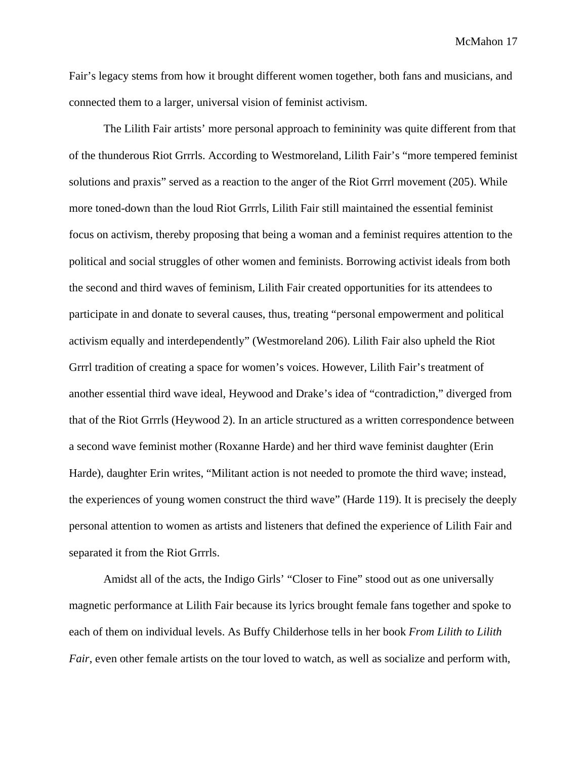Fair's legacy stems from how it brought different women together, both fans and musicians, and connected them to a larger, universal vision of feminist activism.

 The Lilith Fair artists' more personal approach to femininity was quite different from that of the thunderous Riot Grrrls. According to Westmoreland, Lilith Fair's "more tempered feminist solutions and praxis" served as a reaction to the anger of the Riot Grrrl movement (205). While more toned-down than the loud Riot Grrrls, Lilith Fair still maintained the essential feminist focus on activism, thereby proposing that being a woman and a feminist requires attention to the political and social struggles of other women and feminists. Borrowing activist ideals from both the second and third waves of feminism, Lilith Fair created opportunities for its attendees to participate in and donate to several causes, thus, treating "personal empowerment and political activism equally and interdependently" (Westmoreland 206). Lilith Fair also upheld the Riot Grrrl tradition of creating a space for women's voices. However, Lilith Fair's treatment of another essential third wave ideal, Heywood and Drake's idea of "contradiction," diverged from that of the Riot Grrrls (Heywood 2). In an article structured as a written correspondence between a second wave feminist mother (Roxanne Harde) and her third wave feminist daughter (Erin Harde), daughter Erin writes, "Militant action is not needed to promote the third wave; instead, the experiences of young women construct the third wave" (Harde 119). It is precisely the deeply personal attention to women as artists and listeners that defined the experience of Lilith Fair and separated it from the Riot Grrrls.

Amidst all of the acts, the Indigo Girls' "Closer to Fine" stood out as one universally magnetic performance at Lilith Fair because its lyrics brought female fans together and spoke to each of them on individual levels. As Buffy Childerhose tells in her book *From Lilith to Lilith Fair*, even other female artists on the tour loved to watch, as well as socialize and perform with,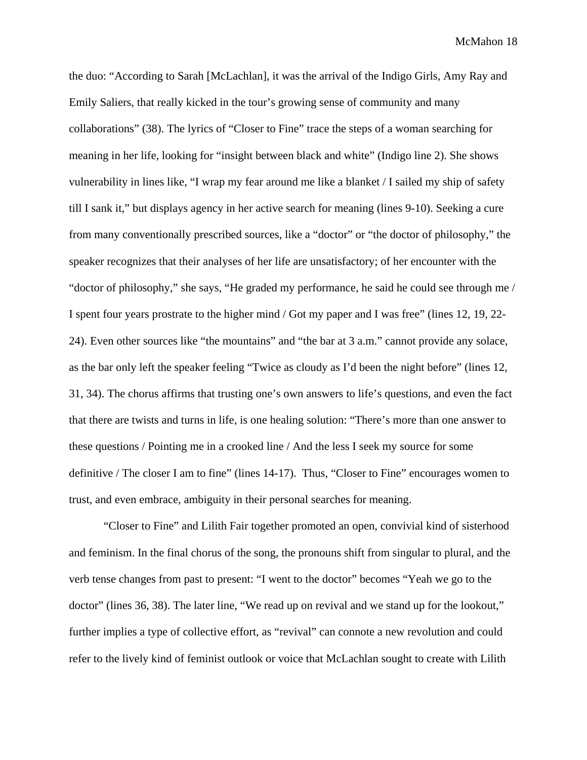the duo: "According to Sarah [McLachlan], it was the arrival of the Indigo Girls, Amy Ray and Emily Saliers, that really kicked in the tour's growing sense of community and many collaborations" (38). The lyrics of "Closer to Fine" trace the steps of a woman searching for meaning in her life, looking for "insight between black and white" (Indigo line 2). She shows vulnerability in lines like, "I wrap my fear around me like a blanket / I sailed my ship of safety till I sank it," but displays agency in her active search for meaning (lines 9-10). Seeking a cure from many conventionally prescribed sources, like a "doctor" or "the doctor of philosophy," the speaker recognizes that their analyses of her life are unsatisfactory; of her encounter with the "doctor of philosophy," she says, "He graded my performance, he said he could see through me / I spent four years prostrate to the higher mind / Got my paper and I was free" (lines 12, 19, 22- 24). Even other sources like "the mountains" and "the bar at 3 a.m." cannot provide any solace, as the bar only left the speaker feeling "Twice as cloudy as I'd been the night before" (lines 12, 31, 34). The chorus affirms that trusting one's own answers to life's questions, and even the fact that there are twists and turns in life, is one healing solution: "There's more than one answer to these questions / Pointing me in a crooked line / And the less I seek my source for some definitive / The closer I am to fine" (lines 14-17). Thus, "Closer to Fine" encourages women to trust, and even embrace, ambiguity in their personal searches for meaning.

"Closer to Fine" and Lilith Fair together promoted an open, convivial kind of sisterhood and feminism. In the final chorus of the song, the pronouns shift from singular to plural, and the verb tense changes from past to present: "I went to the doctor" becomes "Yeah we go to the doctor" (lines 36, 38). The later line, "We read up on revival and we stand up for the lookout," further implies a type of collective effort, as "revival" can connote a new revolution and could refer to the lively kind of feminist outlook or voice that McLachlan sought to create with Lilith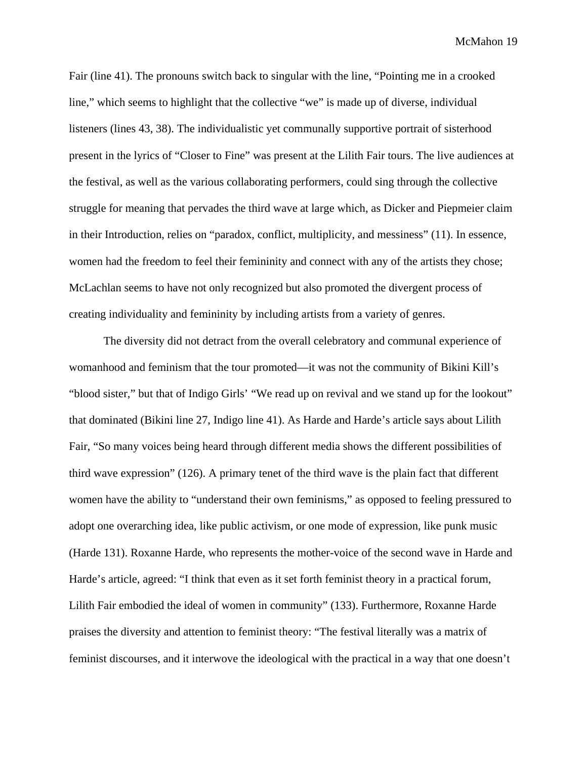Fair (line 41). The pronouns switch back to singular with the line, "Pointing me in a crooked line," which seems to highlight that the collective "we" is made up of diverse, individual listeners (lines 43, 38). The individualistic yet communally supportive portrait of sisterhood present in the lyrics of "Closer to Fine" was present at the Lilith Fair tours. The live audiences at the festival, as well as the various collaborating performers, could sing through the collective struggle for meaning that pervades the third wave at large which, as Dicker and Piepmeier claim in their Introduction, relies on "paradox, conflict, multiplicity, and messiness" (11). In essence, women had the freedom to feel their femininity and connect with any of the artists they chose; McLachlan seems to have not only recognized but also promoted the divergent process of creating individuality and femininity by including artists from a variety of genres.

The diversity did not detract from the overall celebratory and communal experience of womanhood and feminism that the tour promoted—it was not the community of Bikini Kill's "blood sister," but that of Indigo Girls' "We read up on revival and we stand up for the lookout" that dominated (Bikini line 27, Indigo line 41). As Harde and Harde's article says about Lilith Fair, "So many voices being heard through different media shows the different possibilities of third wave expression" (126). A primary tenet of the third wave is the plain fact that different women have the ability to "understand their own feminisms," as opposed to feeling pressured to adopt one overarching idea, like public activism, or one mode of expression, like punk music (Harde 131). Roxanne Harde, who represents the mother-voice of the second wave in Harde and Harde's article, agreed: "I think that even as it set forth feminist theory in a practical forum, Lilith Fair embodied the ideal of women in community" (133). Furthermore, Roxanne Harde praises the diversity and attention to feminist theory: "The festival literally was a matrix of feminist discourses, and it interwove the ideological with the practical in a way that one doesn't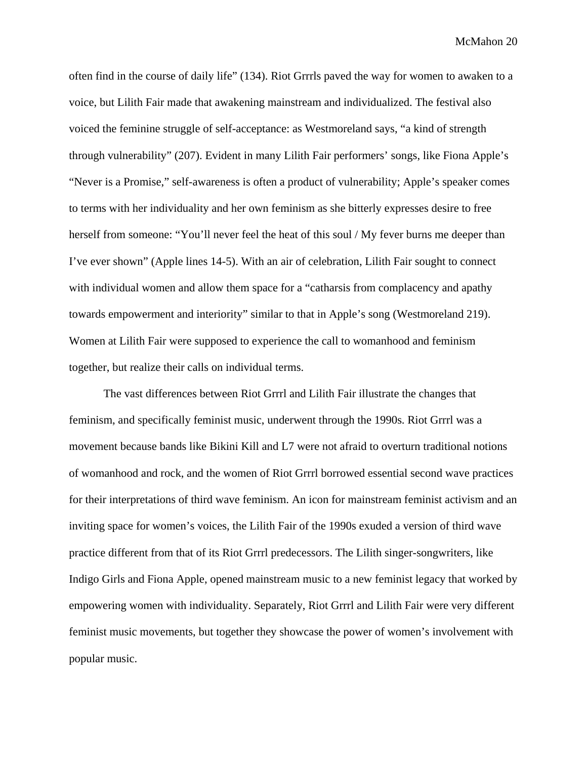often find in the course of daily life" (134). Riot Grrrls paved the way for women to awaken to a voice, but Lilith Fair made that awakening mainstream and individualized. The festival also voiced the feminine struggle of self-acceptance: as Westmoreland says, "a kind of strength through vulnerability" (207). Evident in many Lilith Fair performers' songs, like Fiona Apple's "Never is a Promise," self-awareness is often a product of vulnerability; Apple's speaker comes to terms with her individuality and her own feminism as she bitterly expresses desire to free herself from someone: "You'll never feel the heat of this soul / My fever burns me deeper than I've ever shown" (Apple lines 14-5). With an air of celebration, Lilith Fair sought to connect with individual women and allow them space for a "catharsis from complacency and apathy towards empowerment and interiority" similar to that in Apple's song (Westmoreland 219). Women at Lilith Fair were supposed to experience the call to womanhood and feminism together, but realize their calls on individual terms.

The vast differences between Riot Grrrl and Lilith Fair illustrate the changes that feminism, and specifically feminist music, underwent through the 1990s. Riot Grrrl was a movement because bands like Bikini Kill and L7 were not afraid to overturn traditional notions of womanhood and rock, and the women of Riot Grrrl borrowed essential second wave practices for their interpretations of third wave feminism. An icon for mainstream feminist activism and an inviting space for women's voices, the Lilith Fair of the 1990s exuded a version of third wave practice different from that of its Riot Grrrl predecessors. The Lilith singer-songwriters, like Indigo Girls and Fiona Apple, opened mainstream music to a new feminist legacy that worked by empowering women with individuality. Separately, Riot Grrrl and Lilith Fair were very different feminist music movements, but together they showcase the power of women's involvement with popular music.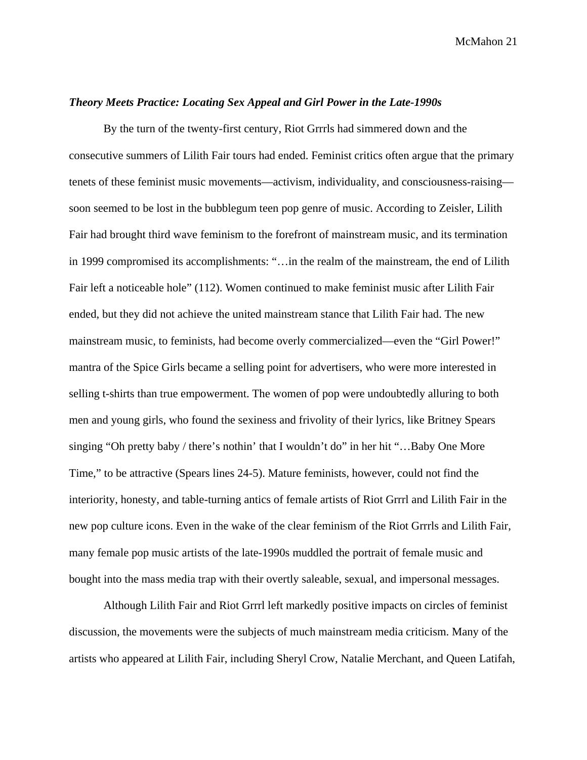# *Theory Meets Practice: Locating Sex Appeal and Girl Power in the Late-1990s*

By the turn of the twenty-first century, Riot Grrrls had simmered down and the consecutive summers of Lilith Fair tours had ended. Feminist critics often argue that the primary tenets of these feminist music movements—activism, individuality, and consciousness-raising soon seemed to be lost in the bubblegum teen pop genre of music. According to Zeisler, Lilith Fair had brought third wave feminism to the forefront of mainstream music, and its termination in 1999 compromised its accomplishments: "…in the realm of the mainstream, the end of Lilith Fair left a noticeable hole" (112). Women continued to make feminist music after Lilith Fair ended, but they did not achieve the united mainstream stance that Lilith Fair had. The new mainstream music, to feminists, had become overly commercialized—even the "Girl Power!" mantra of the Spice Girls became a selling point for advertisers, who were more interested in selling t-shirts than true empowerment. The women of pop were undoubtedly alluring to both men and young girls, who found the sexiness and frivolity of their lyrics, like Britney Spears singing "Oh pretty baby / there's nothin' that I wouldn't do" in her hit "…Baby One More Time," to be attractive (Spears lines 24-5). Mature feminists, however, could not find the interiority, honesty, and table-turning antics of female artists of Riot Grrrl and Lilith Fair in the new pop culture icons. Even in the wake of the clear feminism of the Riot Grrrls and Lilith Fair, many female pop music artists of the late-1990s muddled the portrait of female music and bought into the mass media trap with their overtly saleable, sexual, and impersonal messages.

Although Lilith Fair and Riot Grrrl left markedly positive impacts on circles of feminist discussion, the movements were the subjects of much mainstream media criticism. Many of the artists who appeared at Lilith Fair, including Sheryl Crow, Natalie Merchant, and Queen Latifah,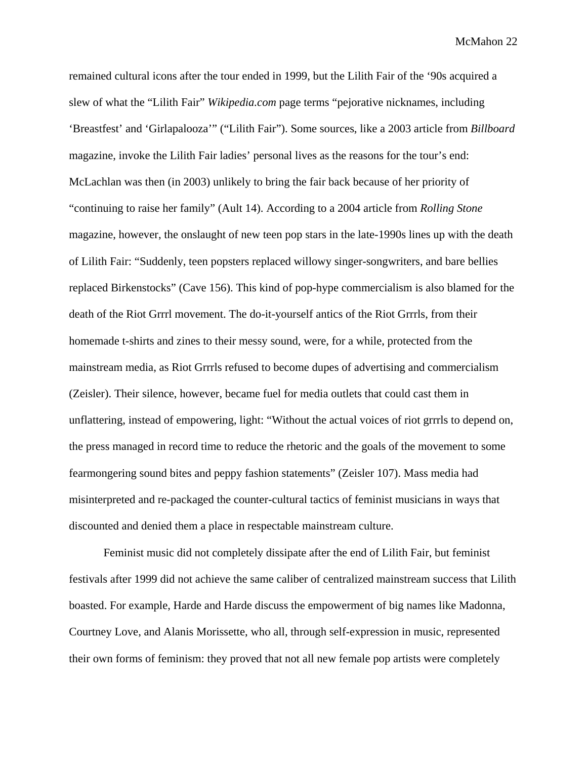remained cultural icons after the tour ended in 1999, but the Lilith Fair of the '90s acquired a slew of what the "Lilith Fair" *Wikipedia.com* page terms "pejorative nicknames, including 'Breastfest' and 'Girlapalooza'" ("Lilith Fair"). Some sources, like a 2003 article from *Billboard* magazine, invoke the Lilith Fair ladies' personal lives as the reasons for the tour's end: McLachlan was then (in 2003) unlikely to bring the fair back because of her priority of "continuing to raise her family" (Ault 14). According to a 2004 article from *Rolling Stone* magazine, however, the onslaught of new teen pop stars in the late-1990s lines up with the death of Lilith Fair: "Suddenly, teen popsters replaced willowy singer-songwriters, and bare bellies replaced Birkenstocks" (Cave 156). This kind of pop-hype commercialism is also blamed for the death of the Riot Grrrl movement. The do-it-yourself antics of the Riot Grrrls, from their homemade t-shirts and zines to their messy sound, were, for a while, protected from the mainstream media, as Riot Grrrls refused to become dupes of advertising and commercialism (Zeisler). Their silence, however, became fuel for media outlets that could cast them in unflattering, instead of empowering, light: "Without the actual voices of riot grrrls to depend on, the press managed in record time to reduce the rhetoric and the goals of the movement to some fearmongering sound bites and peppy fashion statements" (Zeisler 107). Mass media had misinterpreted and re-packaged the counter-cultural tactics of feminist musicians in ways that discounted and denied them a place in respectable mainstream culture.

Feminist music did not completely dissipate after the end of Lilith Fair, but feminist festivals after 1999 did not achieve the same caliber of centralized mainstream success that Lilith boasted. For example, Harde and Harde discuss the empowerment of big names like Madonna, Courtney Love, and Alanis Morissette, who all, through self-expression in music, represented their own forms of feminism: they proved that not all new female pop artists were completely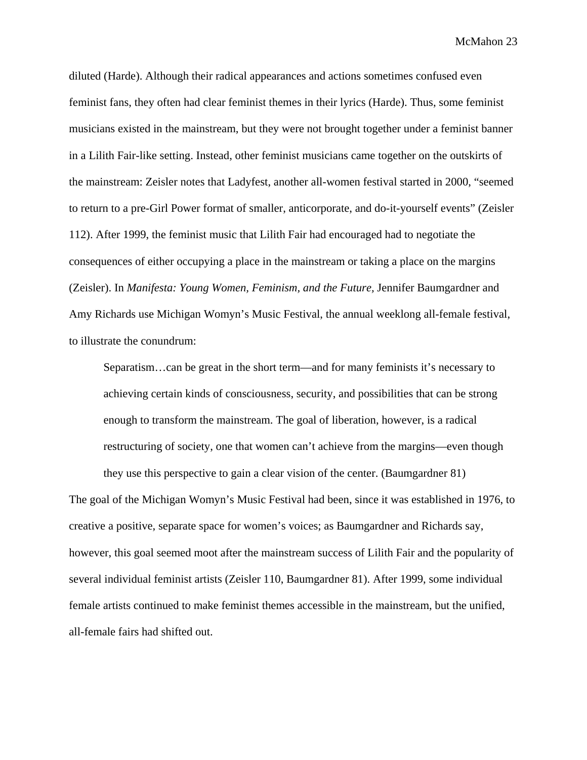diluted (Harde). Although their radical appearances and actions sometimes confused even feminist fans, they often had clear feminist themes in their lyrics (Harde). Thus, some feminist musicians existed in the mainstream, but they were not brought together under a feminist banner in a Lilith Fair-like setting. Instead, other feminist musicians came together on the outskirts of the mainstream: Zeisler notes that Ladyfest, another all-women festival started in 2000, "seemed to return to a pre-Girl Power format of smaller, anticorporate, and do-it-yourself events" (Zeisler 112). After 1999, the feminist music that Lilith Fair had encouraged had to negotiate the consequences of either occupying a place in the mainstream or taking a place on the margins (Zeisler). In *Manifesta: Young Women, Feminism, and the Future,* Jennifer Baumgardner and Amy Richards use Michigan Womyn's Music Festival, the annual weeklong all-female festival, to illustrate the conundrum:

Separatism…can be great in the short term—and for many feminists it's necessary to achieving certain kinds of consciousness, security, and possibilities that can be strong enough to transform the mainstream. The goal of liberation, however, is a radical restructuring of society, one that women can't achieve from the margins—even though they use this perspective to gain a clear vision of the center. (Baumgardner 81)

The goal of the Michigan Womyn's Music Festival had been, since it was established in 1976, to creative a positive, separate space for women's voices; as Baumgardner and Richards say, however, this goal seemed moot after the mainstream success of Lilith Fair and the popularity of several individual feminist artists (Zeisler 110, Baumgardner 81). After 1999, some individual female artists continued to make feminist themes accessible in the mainstream, but the unified, all-female fairs had shifted out.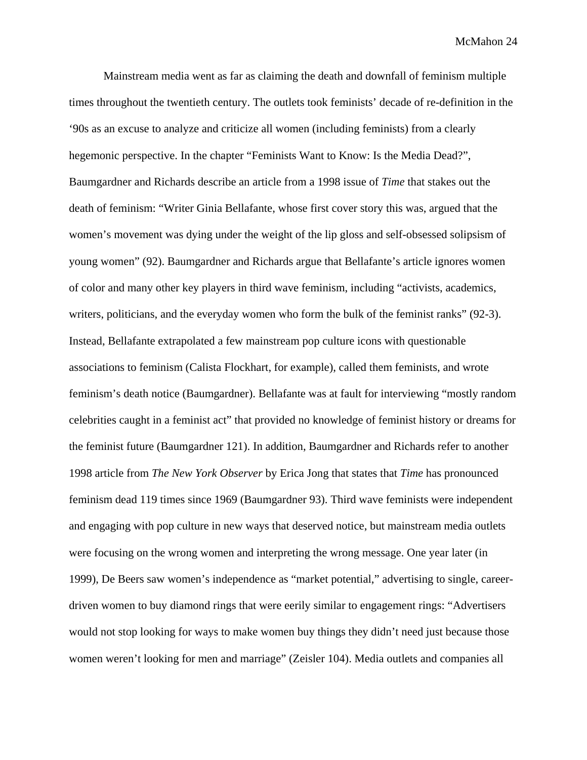Mainstream media went as far as claiming the death and downfall of feminism multiple times throughout the twentieth century. The outlets took feminists' decade of re-definition in the '90s as an excuse to analyze and criticize all women (including feminists) from a clearly hegemonic perspective. In the chapter "Feminists Want to Know: Is the Media Dead?", Baumgardner and Richards describe an article from a 1998 issue of *Time* that stakes out the death of feminism: "Writer Ginia Bellafante, whose first cover story this was, argued that the women's movement was dying under the weight of the lip gloss and self-obsessed solipsism of young women" (92). Baumgardner and Richards argue that Bellafante's article ignores women of color and many other key players in third wave feminism, including "activists, academics, writers, politicians, and the everyday women who form the bulk of the feminist ranks" (92-3). Instead, Bellafante extrapolated a few mainstream pop culture icons with questionable associations to feminism (Calista Flockhart, for example), called them feminists, and wrote feminism's death notice (Baumgardner). Bellafante was at fault for interviewing "mostly random celebrities caught in a feminist act" that provided no knowledge of feminist history or dreams for the feminist future (Baumgardner 121). In addition, Baumgardner and Richards refer to another 1998 article from *The New York Observer* by Erica Jong that states that *Time* has pronounced feminism dead 119 times since 1969 (Baumgardner 93). Third wave feminists were independent and engaging with pop culture in new ways that deserved notice, but mainstream media outlets were focusing on the wrong women and interpreting the wrong message. One year later (in 1999), De Beers saw women's independence as "market potential," advertising to single, careerdriven women to buy diamond rings that were eerily similar to engagement rings: "Advertisers would not stop looking for ways to make women buy things they didn't need just because those women weren't looking for men and marriage" (Zeisler 104). Media outlets and companies all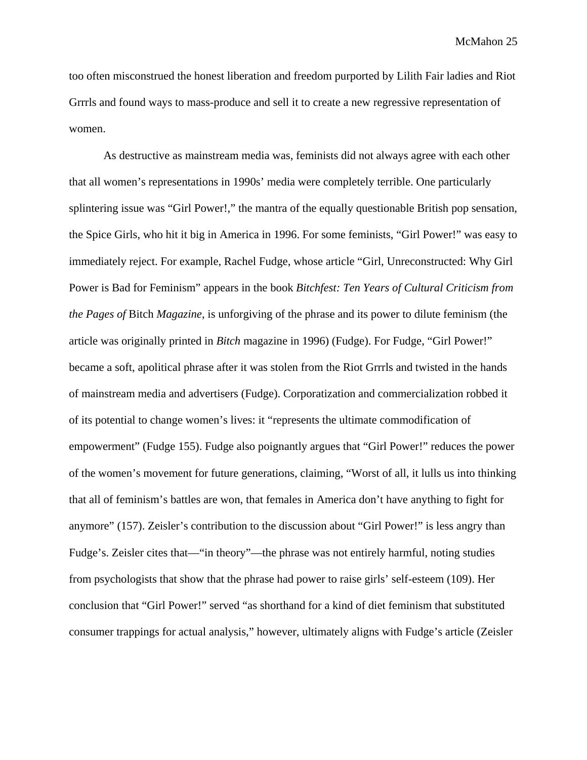too often misconstrued the honest liberation and freedom purported by Lilith Fair ladies and Riot Grrrls and found ways to mass-produce and sell it to create a new regressive representation of women.

As destructive as mainstream media was, feminists did not always agree with each other that all women's representations in 1990s' media were completely terrible. One particularly splintering issue was "Girl Power!," the mantra of the equally questionable British pop sensation, the Spice Girls, who hit it big in America in 1996. For some feminists, "Girl Power!" was easy to immediately reject. For example, Rachel Fudge, whose article "Girl, Unreconstructed: Why Girl Power is Bad for Feminism" appears in the book *Bitchfest: Ten Years of Cultural Criticism from the Pages of* Bitch *Magazine*, is unforgiving of the phrase and its power to dilute feminism (the article was originally printed in *Bitch* magazine in 1996) (Fudge). For Fudge, "Girl Power!" became a soft, apolitical phrase after it was stolen from the Riot Grrrls and twisted in the hands of mainstream media and advertisers (Fudge). Corporatization and commercialization robbed it of its potential to change women's lives: it "represents the ultimate commodification of empowerment" (Fudge 155). Fudge also poignantly argues that "Girl Power!" reduces the power of the women's movement for future generations, claiming, "Worst of all, it lulls us into thinking that all of feminism's battles are won, that females in America don't have anything to fight for anymore" (157). Zeisler's contribution to the discussion about "Girl Power!" is less angry than Fudge's. Zeisler cites that—"in theory"—the phrase was not entirely harmful, noting studies from psychologists that show that the phrase had power to raise girls' self-esteem (109). Her conclusion that "Girl Power!" served "as shorthand for a kind of diet feminism that substituted consumer trappings for actual analysis," however, ultimately aligns with Fudge's article (Zeisler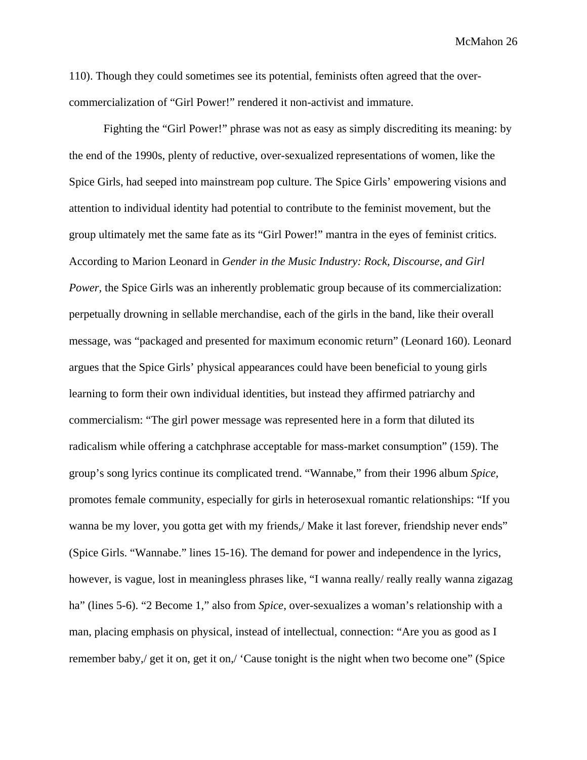110). Though they could sometimes see its potential, feminists often agreed that the overcommercialization of "Girl Power!" rendered it non-activist and immature.

Fighting the "Girl Power!" phrase was not as easy as simply discrediting its meaning: by the end of the 1990s, plenty of reductive, over-sexualized representations of women, like the Spice Girls, had seeped into mainstream pop culture. The Spice Girls' empowering visions and attention to individual identity had potential to contribute to the feminist movement, but the group ultimately met the same fate as its "Girl Power!" mantra in the eyes of feminist critics. According to Marion Leonard in *Gender in the Music Industry: Rock, Discourse, and Girl Power*, the Spice Girls was an inherently problematic group because of its commercialization: perpetually drowning in sellable merchandise, each of the girls in the band, like their overall message, was "packaged and presented for maximum economic return" (Leonard 160). Leonard argues that the Spice Girls' physical appearances could have been beneficial to young girls learning to form their own individual identities, but instead they affirmed patriarchy and commercialism: "The girl power message was represented here in a form that diluted its radicalism while offering a catchphrase acceptable for mass-market consumption" (159). The group's song lyrics continue its complicated trend. "Wannabe," from their 1996 album *Spice,*  promotes female community, especially for girls in heterosexual romantic relationships: "If you wanna be my lover, you gotta get with my friends, Make it last forever, friendship never ends" (Spice Girls. "Wannabe." lines 15-16). The demand for power and independence in the lyrics, however, is vague, lost in meaningless phrases like, "I wanna really/ really really wanna zigazag ha" (lines 5-6). "2 Become 1," also from *Spice*, over-sexualizes a woman's relationship with a man, placing emphasis on physical, instead of intellectual, connection: "Are you as good as I remember baby,/ get it on, get it on,/ 'Cause tonight is the night when two become one" (Spice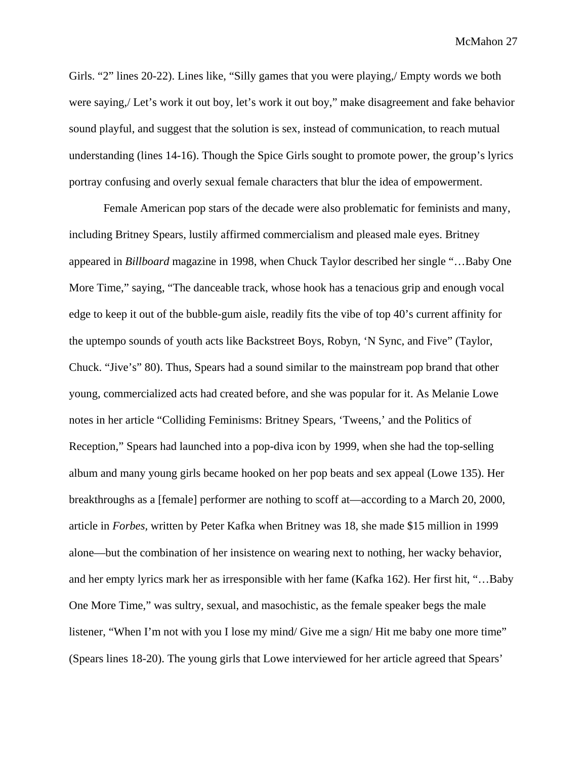Girls. "2" lines 20-22). Lines like, "Silly games that you were playing,/ Empty words we both were saying,/ Let's work it out boy, let's work it out boy," make disagreement and fake behavior sound playful, and suggest that the solution is sex, instead of communication, to reach mutual understanding (lines 14-16). Though the Spice Girls sought to promote power, the group's lyrics portray confusing and overly sexual female characters that blur the idea of empowerment.

Female American pop stars of the decade were also problematic for feminists and many, including Britney Spears, lustily affirmed commercialism and pleased male eyes. Britney appeared in *Billboard* magazine in 1998, when Chuck Taylor described her single "…Baby One More Time," saying, "The danceable track, whose hook has a tenacious grip and enough vocal edge to keep it out of the bubble-gum aisle, readily fits the vibe of top 40's current affinity for the uptempo sounds of youth acts like Backstreet Boys, Robyn, 'N Sync, and Five" (Taylor, Chuck. "Jive's" 80). Thus, Spears had a sound similar to the mainstream pop brand that other young, commercialized acts had created before, and she was popular for it. As Melanie Lowe notes in her article "Colliding Feminisms: Britney Spears, 'Tweens,' and the Politics of Reception," Spears had launched into a pop-diva icon by 1999, when she had the top-selling album and many young girls became hooked on her pop beats and sex appeal (Lowe 135). Her breakthroughs as a [female] performer are nothing to scoff at—according to a March 20, 2000, article in *Forbes,* written by Peter Kafka when Britney was 18, she made \$15 million in 1999 alone—but the combination of her insistence on wearing next to nothing, her wacky behavior, and her empty lyrics mark her as irresponsible with her fame (Kafka 162). Her first hit, "…Baby One More Time," was sultry, sexual, and masochistic, as the female speaker begs the male listener, "When I'm not with you I lose my mind/ Give me a sign/ Hit me baby one more time" (Spears lines 18-20). The young girls that Lowe interviewed for her article agreed that Spears'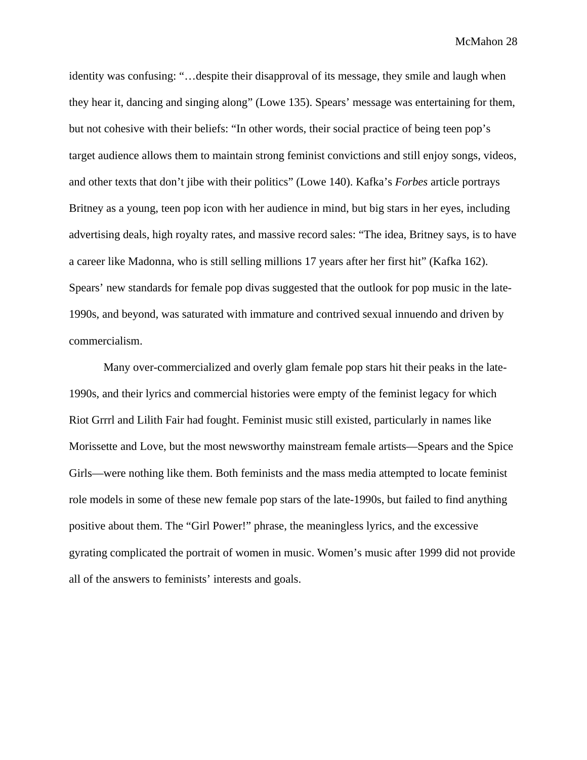identity was confusing: "…despite their disapproval of its message, they smile and laugh when they hear it, dancing and singing along" (Lowe 135). Spears' message was entertaining for them, but not cohesive with their beliefs: "In other words, their social practice of being teen pop's target audience allows them to maintain strong feminist convictions and still enjoy songs, videos, and other texts that don't jibe with their politics" (Lowe 140). Kafka's *Forbes* article portrays Britney as a young, teen pop icon with her audience in mind, but big stars in her eyes, including advertising deals, high royalty rates, and massive record sales: "The idea, Britney says, is to have a career like Madonna, who is still selling millions 17 years after her first hit" (Kafka 162). Spears' new standards for female pop divas suggested that the outlook for pop music in the late-1990s, and beyond, was saturated with immature and contrived sexual innuendo and driven by commercialism.

Many over-commercialized and overly glam female pop stars hit their peaks in the late-1990s, and their lyrics and commercial histories were empty of the feminist legacy for which Riot Grrrl and Lilith Fair had fought. Feminist music still existed, particularly in names like Morissette and Love, but the most newsworthy mainstream female artists—Spears and the Spice Girls—were nothing like them. Both feminists and the mass media attempted to locate feminist role models in some of these new female pop stars of the late-1990s, but failed to find anything positive about them. The "Girl Power!" phrase, the meaningless lyrics, and the excessive gyrating complicated the portrait of women in music. Women's music after 1999 did not provide all of the answers to feminists' interests and goals.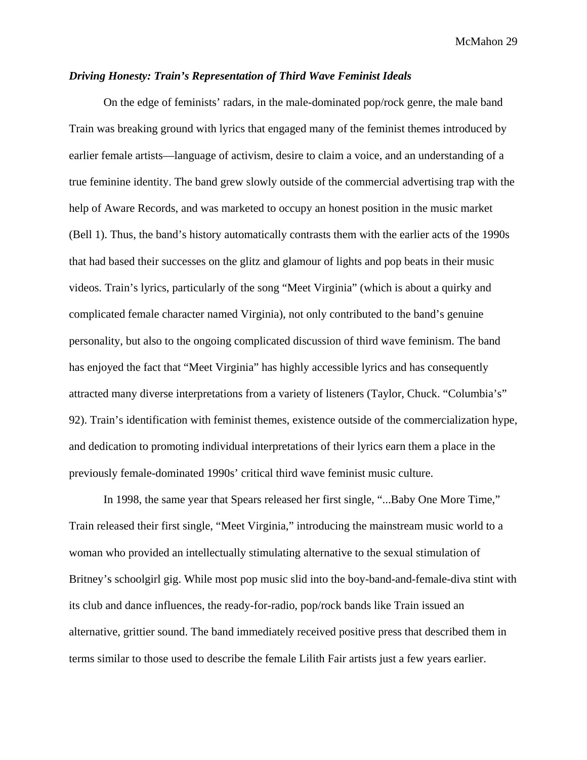# *Driving Honesty: Train's Representation of Third Wave Feminist Ideals*

On the edge of feminists' radars, in the male-dominated pop/rock genre, the male band Train was breaking ground with lyrics that engaged many of the feminist themes introduced by earlier female artists—language of activism, desire to claim a voice, and an understanding of a true feminine identity. The band grew slowly outside of the commercial advertising trap with the help of Aware Records, and was marketed to occupy an honest position in the music market (Bell 1). Thus, the band's history automatically contrasts them with the earlier acts of the 1990s that had based their successes on the glitz and glamour of lights and pop beats in their music videos*.* Train's lyrics, particularly of the song "Meet Virginia" (which is about a quirky and complicated female character named Virginia), not only contributed to the band's genuine personality, but also to the ongoing complicated discussion of third wave feminism. The band has enjoyed the fact that "Meet Virginia" has highly accessible lyrics and has consequently attracted many diverse interpretations from a variety of listeners (Taylor, Chuck. "Columbia's" 92). Train's identification with feminist themes, existence outside of the commercialization hype, and dedication to promoting individual interpretations of their lyrics earn them a place in the previously female-dominated 1990s' critical third wave feminist music culture.

In 1998, the same year that Spears released her first single, "...Baby One More Time," Train released their first single, "Meet Virginia," introducing the mainstream music world to a woman who provided an intellectually stimulating alternative to the sexual stimulation of Britney's schoolgirl gig. While most pop music slid into the boy-band-and-female-diva stint with its club and dance influences, the ready-for-radio, pop/rock bands like Train issued an alternative, grittier sound. The band immediately received positive press that described them in terms similar to those used to describe the female Lilith Fair artists just a few years earlier.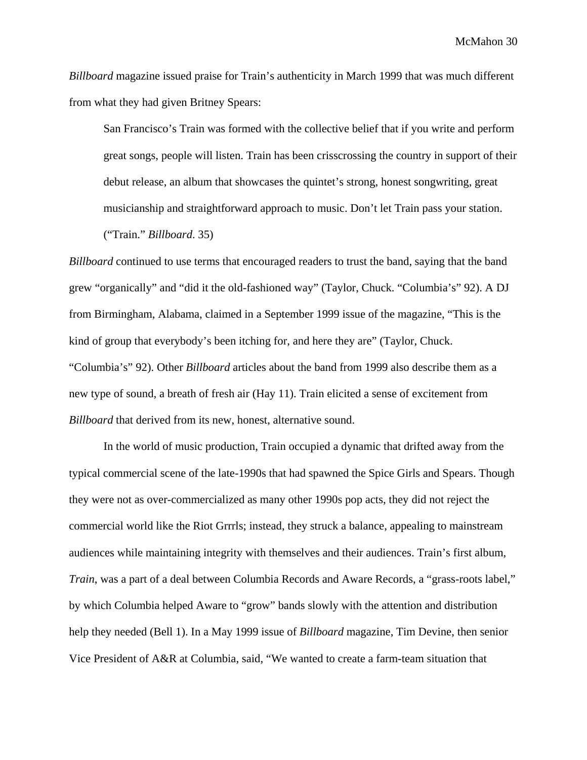*Billboard* magazine issued praise for Train's authenticity in March 1999 that was much different from what they had given Britney Spears:

San Francisco's Train was formed with the collective belief that if you write and perform great songs, people will listen. Train has been crisscrossing the country in support of their debut release, an album that showcases the quintet's strong, honest songwriting, great musicianship and straightforward approach to music. Don't let Train pass your station.

("Train." *Billboard*. 35)

*Billboard* continued to use terms that encouraged readers to trust the band, saying that the band grew "organically" and "did it the old-fashioned way" (Taylor, Chuck. "Columbia's" 92). A DJ from Birmingham, Alabama, claimed in a September 1999 issue of the magazine, "This is the kind of group that everybody's been itching for, and here they are" (Taylor, Chuck. "Columbia's" 92). Other *Billboard* articles about the band from 1999 also describe them as a new type of sound, a breath of fresh air (Hay 11). Train elicited a sense of excitement from *Billboard* that derived from its new, honest, alternative sound.

In the world of music production, Train occupied a dynamic that drifted away from the typical commercial scene of the late-1990s that had spawned the Spice Girls and Spears. Though they were not as over-commercialized as many other 1990s pop acts, they did not reject the commercial world like the Riot Grrrls; instead, they struck a balance, appealing to mainstream audiences while maintaining integrity with themselves and their audiences. Train's first album, *Train*, was a part of a deal between Columbia Records and Aware Records, a "grass-roots label," by which Columbia helped Aware to "grow" bands slowly with the attention and distribution help they needed (Bell 1). In a May 1999 issue of *Billboard* magazine, Tim Devine, then senior Vice President of A&R at Columbia, said, "We wanted to create a farm-team situation that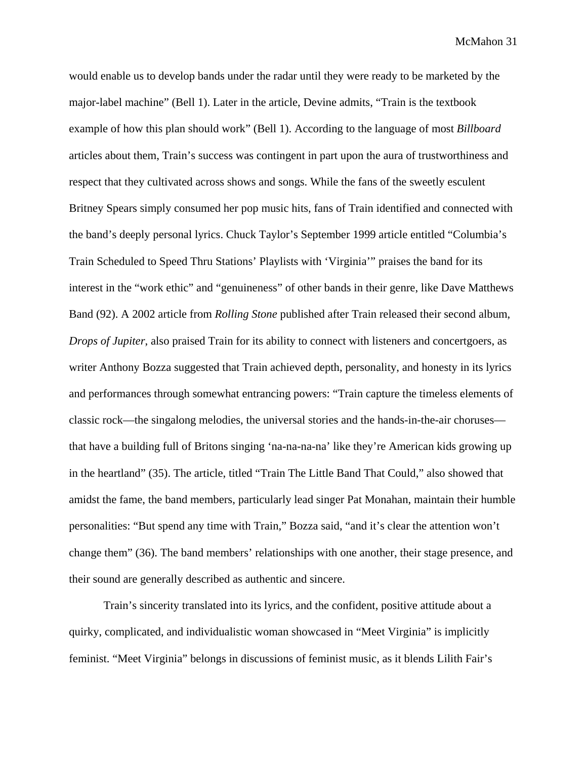would enable us to develop bands under the radar until they were ready to be marketed by the major-label machine" (Bell 1). Later in the article, Devine admits, "Train is the textbook example of how this plan should work" (Bell 1). According to the language of most *Billboard*  articles about them, Train's success was contingent in part upon the aura of trustworthiness and respect that they cultivated across shows and songs. While the fans of the sweetly esculent Britney Spears simply consumed her pop music hits, fans of Train identified and connected with the band's deeply personal lyrics. Chuck Taylor's September 1999 article entitled "Columbia's Train Scheduled to Speed Thru Stations' Playlists with 'Virginia'" praises the band for its interest in the "work ethic" and "genuineness" of other bands in their genre, like Dave Matthews Band (92). A 2002 article from *Rolling Stone* published after Train released their second album, *Drops of Jupiter*, also praised Train for its ability to connect with listeners and concertgoers, as writer Anthony Bozza suggested that Train achieved depth, personality, and honesty in its lyrics and performances through somewhat entrancing powers: "Train capture the timeless elements of classic rock—the singalong melodies, the universal stories and the hands-in-the-air choruses that have a building full of Britons singing 'na-na-na-na' like they're American kids growing up in the heartland" (35). The article, titled "Train The Little Band That Could," also showed that amidst the fame, the band members, particularly lead singer Pat Monahan, maintain their humble personalities: "But spend any time with Train," Bozza said, "and it's clear the attention won't change them" (36). The band members' relationships with one another, their stage presence, and their sound are generally described as authentic and sincere.

Train's sincerity translated into its lyrics, and the confident, positive attitude about a quirky, complicated, and individualistic woman showcased in "Meet Virginia" is implicitly feminist. "Meet Virginia" belongs in discussions of feminist music, as it blends Lilith Fair's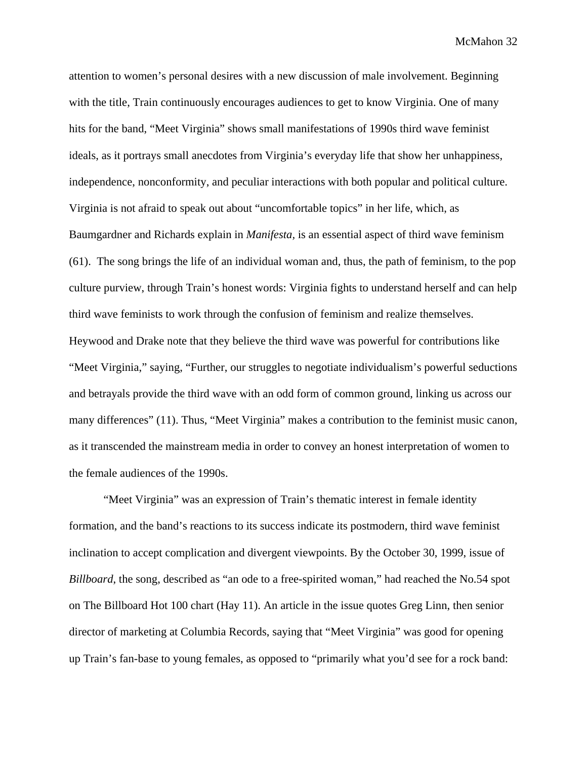attention to women's personal desires with a new discussion of male involvement. Beginning with the title, Train continuously encourages audiences to get to know Virginia. One of many hits for the band, "Meet Virginia" shows small manifestations of 1990s third wave feminist ideals, as it portrays small anecdotes from Virginia's everyday life that show her unhappiness, independence, nonconformity, and peculiar interactions with both popular and political culture. Virginia is not afraid to speak out about "uncomfortable topics" in her life, which, as Baumgardner and Richards explain in *Manifesta,* is an essential aspect of third wave feminism (61). The song brings the life of an individual woman and, thus, the path of feminism, to the pop culture purview, through Train's honest words: Virginia fights to understand herself and can help third wave feminists to work through the confusion of feminism and realize themselves. Heywood and Drake note that they believe the third wave was powerful for contributions like "Meet Virginia," saying, "Further, our struggles to negotiate individualism's powerful seductions and betrayals provide the third wave with an odd form of common ground, linking us across our many differences" (11). Thus, "Meet Virginia" makes a contribution to the feminist music canon, as it transcended the mainstream media in order to convey an honest interpretation of women to the female audiences of the 1990s.

"Meet Virginia" was an expression of Train's thematic interest in female identity formation, and the band's reactions to its success indicate its postmodern, third wave feminist inclination to accept complication and divergent viewpoints. By the October 30, 1999, issue of *Billboard*, the song, described as "an ode to a free-spirited woman," had reached the No.54 spot on The Billboard Hot 100 chart (Hay 11). An article in the issue quotes Greg Linn, then senior director of marketing at Columbia Records, saying that "Meet Virginia" was good for opening up Train's fan-base to young females, as opposed to "primarily what you'd see for a rock band: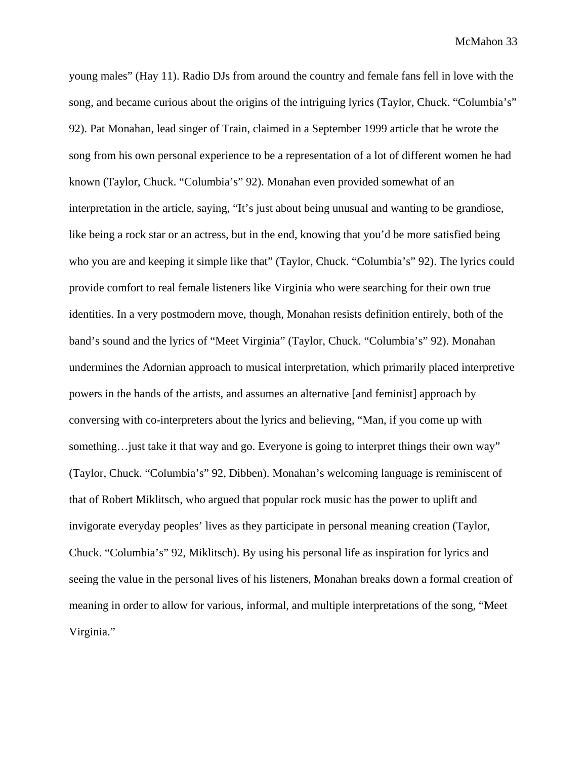young males" (Hay 11). Radio DJs from around the country and female fans fell in love with the song, and became curious about the origins of the intriguing lyrics (Taylor, Chuck. "Columbia's" 92). Pat Monahan, lead singer of Train, claimed in a September 1999 article that he wrote the song from his own personal experience to be a representation of a lot of different women he had known (Taylor, Chuck. "Columbia's" 92). Monahan even provided somewhat of an interpretation in the article, saying, "It's just about being unusual and wanting to be grandiose, like being a rock star or an actress, but in the end, knowing that you'd be more satisfied being who you are and keeping it simple like that" (Taylor, Chuck. "Columbia's" 92). The lyrics could provide comfort to real female listeners like Virginia who were searching for their own true identities. In a very postmodern move, though, Monahan resists definition entirely, both of the band's sound and the lyrics of "Meet Virginia" (Taylor, Chuck. "Columbia's" 92). Monahan undermines the Adornian approach to musical interpretation, which primarily placed interpretive powers in the hands of the artists, and assumes an alternative [and feminist] approach by conversing with co-interpreters about the lyrics and believing, "Man, if you come up with something…just take it that way and go. Everyone is going to interpret things their own way" (Taylor, Chuck. "Columbia's" 92, Dibben). Monahan's welcoming language is reminiscent of that of Robert Miklitsch, who argued that popular rock music has the power to uplift and invigorate everyday peoples' lives as they participate in personal meaning creation (Taylor, Chuck. "Columbia's" 92, Miklitsch). By using his personal life as inspiration for lyrics and seeing the value in the personal lives of his listeners, Monahan breaks down a formal creation of meaning in order to allow for various, informal, and multiple interpretations of the song, "Meet Virginia."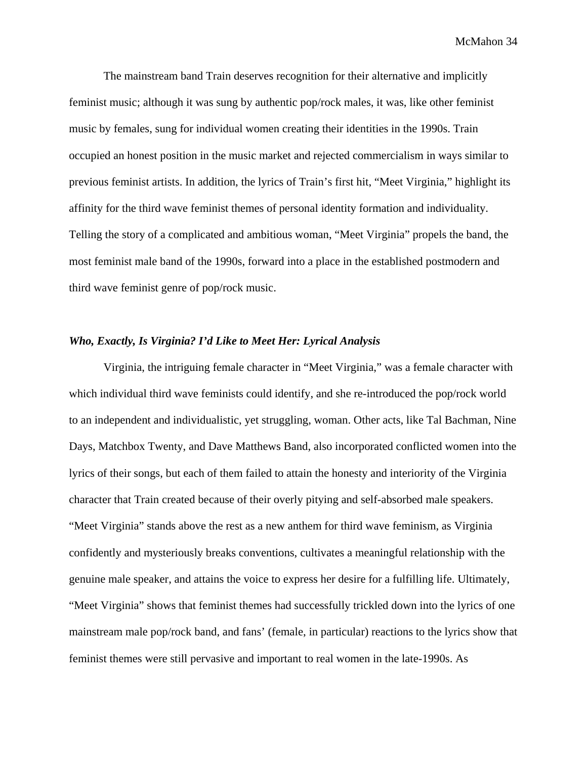The mainstream band Train deserves recognition for their alternative and implicitly feminist music; although it was sung by authentic pop/rock males, it was, like other feminist music by females, sung for individual women creating their identities in the 1990s. Train occupied an honest position in the music market and rejected commercialism in ways similar to previous feminist artists. In addition, the lyrics of Train's first hit, "Meet Virginia," highlight its affinity for the third wave feminist themes of personal identity formation and individuality. Telling the story of a complicated and ambitious woman, "Meet Virginia" propels the band, the most feminist male band of the 1990s, forward into a place in the established postmodern and third wave feminist genre of pop/rock music.

### *Who, Exactly, Is Virginia? I'd Like to Meet Her: Lyrical Analysis*

Virginia, the intriguing female character in "Meet Virginia," was a female character with which individual third wave feminists could identify, and she re-introduced the pop/rock world to an independent and individualistic, yet struggling, woman. Other acts, like Tal Bachman, Nine Days, Matchbox Twenty, and Dave Matthews Band, also incorporated conflicted women into the lyrics of their songs, but each of them failed to attain the honesty and interiority of the Virginia character that Train created because of their overly pitying and self-absorbed male speakers. "Meet Virginia" stands above the rest as a new anthem for third wave feminism, as Virginia confidently and mysteriously breaks conventions, cultivates a meaningful relationship with the genuine male speaker, and attains the voice to express her desire for a fulfilling life. Ultimately, "Meet Virginia" shows that feminist themes had successfully trickled down into the lyrics of one mainstream male pop/rock band, and fans' (female, in particular) reactions to the lyrics show that feminist themes were still pervasive and important to real women in the late-1990s. As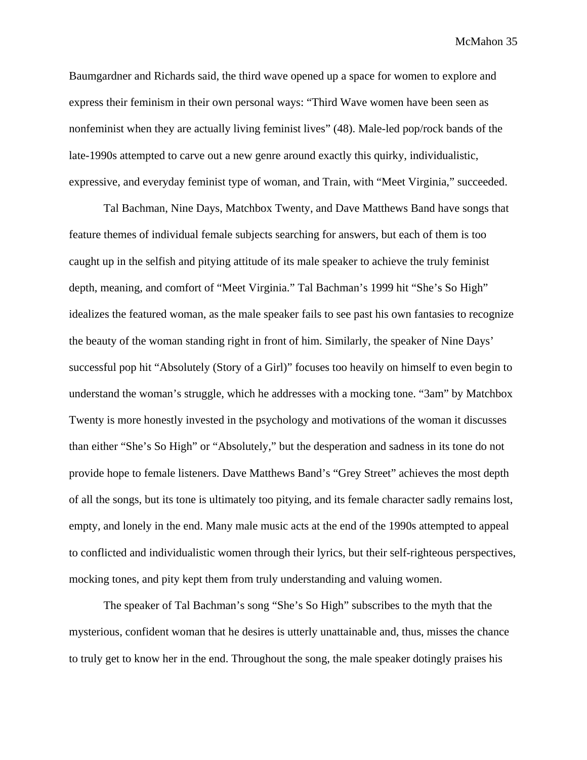Baumgardner and Richards said, the third wave opened up a space for women to explore and express their feminism in their own personal ways: "Third Wave women have been seen as nonfeminist when they are actually living feminist lives" (48). Male-led pop/rock bands of the late-1990s attempted to carve out a new genre around exactly this quirky, individualistic, expressive, and everyday feminist type of woman, and Train, with "Meet Virginia," succeeded.

Tal Bachman, Nine Days, Matchbox Twenty, and Dave Matthews Band have songs that feature themes of individual female subjects searching for answers, but each of them is too caught up in the selfish and pitying attitude of its male speaker to achieve the truly feminist depth, meaning, and comfort of "Meet Virginia." Tal Bachman's 1999 hit "She's So High" idealizes the featured woman, as the male speaker fails to see past his own fantasies to recognize the beauty of the woman standing right in front of him. Similarly, the speaker of Nine Days' successful pop hit "Absolutely (Story of a Girl)" focuses too heavily on himself to even begin to understand the woman's struggle, which he addresses with a mocking tone. "3am" by Matchbox Twenty is more honestly invested in the psychology and motivations of the woman it discusses than either "She's So High" or "Absolutely," but the desperation and sadness in its tone do not provide hope to female listeners. Dave Matthews Band's "Grey Street" achieves the most depth of all the songs, but its tone is ultimately too pitying, and its female character sadly remains lost, empty, and lonely in the end. Many male music acts at the end of the 1990s attempted to appeal to conflicted and individualistic women through their lyrics, but their self-righteous perspectives, mocking tones, and pity kept them from truly understanding and valuing women.

The speaker of Tal Bachman's song "She's So High" subscribes to the myth that the mysterious, confident woman that he desires is utterly unattainable and, thus, misses the chance to truly get to know her in the end. Throughout the song, the male speaker dotingly praises his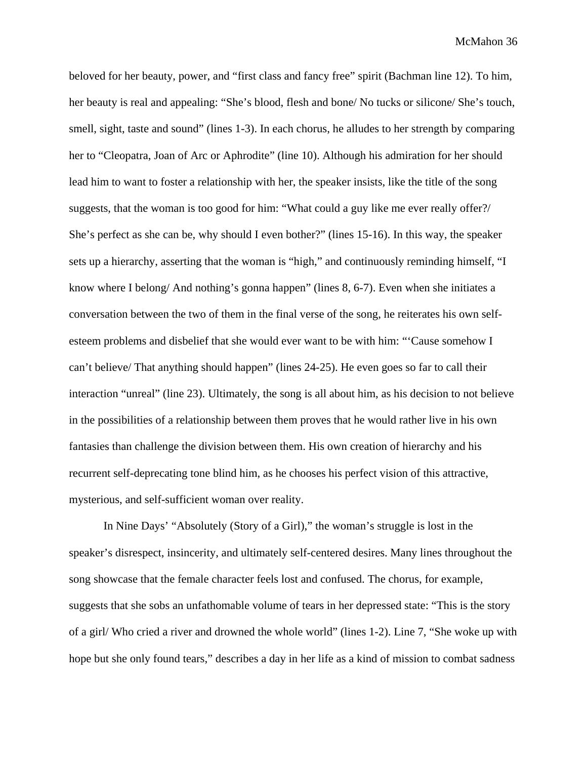beloved for her beauty, power, and "first class and fancy free" spirit (Bachman line 12). To him, her beauty is real and appealing: "She's blood, flesh and bone/ No tucks or silicone/ She's touch, smell, sight, taste and sound" (lines 1-3). In each chorus, he alludes to her strength by comparing her to "Cleopatra, Joan of Arc or Aphrodite" (line 10). Although his admiration for her should lead him to want to foster a relationship with her, the speaker insists, like the title of the song suggests, that the woman is too good for him: "What could a guy like me ever really offer?/ She's perfect as she can be, why should I even bother?" (lines 15-16). In this way, the speaker sets up a hierarchy, asserting that the woman is "high," and continuously reminding himself, "I know where I belong/ And nothing's gonna happen" (lines 8, 6-7). Even when she initiates a conversation between the two of them in the final verse of the song, he reiterates his own selfesteem problems and disbelief that she would ever want to be with him: "'Cause somehow I can't believe/ That anything should happen" (lines 24-25). He even goes so far to call their interaction "unreal" (line 23). Ultimately, the song is all about him, as his decision to not believe in the possibilities of a relationship between them proves that he would rather live in his own fantasies than challenge the division between them. His own creation of hierarchy and his recurrent self-deprecating tone blind him, as he chooses his perfect vision of this attractive, mysterious, and self-sufficient woman over reality.

In Nine Days' "Absolutely (Story of a Girl)," the woman's struggle is lost in the speaker's disrespect, insincerity, and ultimately self-centered desires. Many lines throughout the song showcase that the female character feels lost and confused. The chorus, for example, suggests that she sobs an unfathomable volume of tears in her depressed state: "This is the story of a girl/ Who cried a river and drowned the whole world" (lines 1-2). Line 7, "She woke up with hope but she only found tears," describes a day in her life as a kind of mission to combat sadness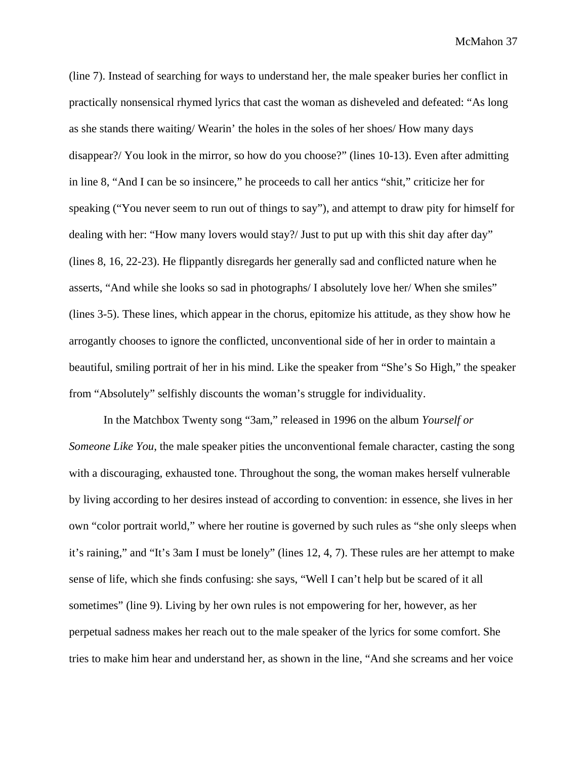(line 7). Instead of searching for ways to understand her, the male speaker buries her conflict in practically nonsensical rhymed lyrics that cast the woman as disheveled and defeated: "As long as she stands there waiting/ Wearin' the holes in the soles of her shoes/ How many days disappear?/ You look in the mirror, so how do you choose?" (lines 10-13). Even after admitting in line 8, "And I can be so insincere," he proceeds to call her antics "shit," criticize her for speaking ("You never seem to run out of things to say"), and attempt to draw pity for himself for dealing with her: "How many lovers would stay?/ Just to put up with this shit day after day" (lines 8, 16, 22-23). He flippantly disregards her generally sad and conflicted nature when he asserts, "And while she looks so sad in photographs/ I absolutely love her/ When she smiles" (lines 3-5). These lines, which appear in the chorus, epitomize his attitude, as they show how he arrogantly chooses to ignore the conflicted, unconventional side of her in order to maintain a beautiful, smiling portrait of her in his mind. Like the speaker from "She's So High," the speaker from "Absolutely" selfishly discounts the woman's struggle for individuality.

In the Matchbox Twenty song "3am," released in 1996 on the album *Yourself or Someone Like You*, the male speaker pities the unconventional female character, casting the song with a discouraging, exhausted tone. Throughout the song, the woman makes herself vulnerable by living according to her desires instead of according to convention: in essence, she lives in her own "color portrait world," where her routine is governed by such rules as "she only sleeps when it's raining," and "It's 3am I must be lonely" (lines 12, 4, 7). These rules are her attempt to make sense of life, which she finds confusing: she says, "Well I can't help but be scared of it all sometimes" (line 9). Living by her own rules is not empowering for her, however, as her perpetual sadness makes her reach out to the male speaker of the lyrics for some comfort. She tries to make him hear and understand her, as shown in the line, "And she screams and her voice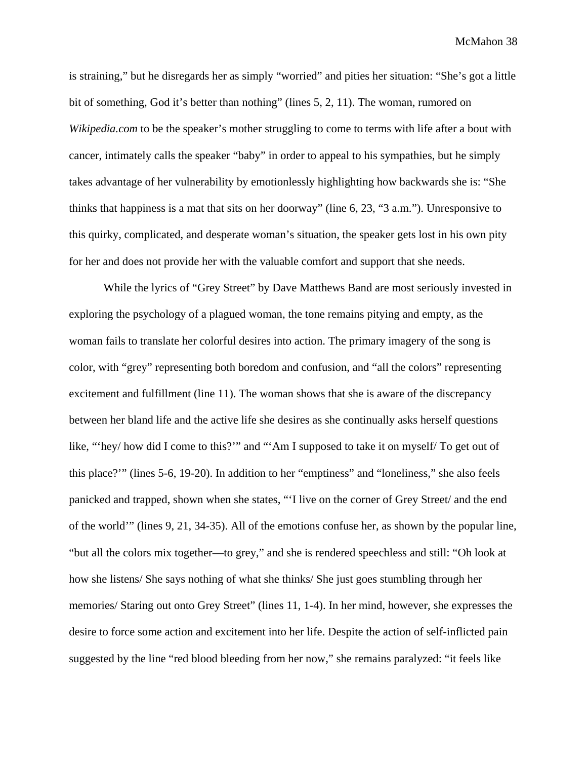is straining," but he disregards her as simply "worried" and pities her situation: "She's got a little bit of something, God it's better than nothing" (lines 5, 2, 11). The woman, rumored on *Wikipedia.com* to be the speaker's mother struggling to come to terms with life after a bout with cancer, intimately calls the speaker "baby" in order to appeal to his sympathies, but he simply takes advantage of her vulnerability by emotionlessly highlighting how backwards she is: "She thinks that happiness is a mat that sits on her doorway" (line 6, 23, "3 a.m."). Unresponsive to this quirky, complicated, and desperate woman's situation, the speaker gets lost in his own pity for her and does not provide her with the valuable comfort and support that she needs.

While the lyrics of "Grey Street" by Dave Matthews Band are most seriously invested in exploring the psychology of a plagued woman, the tone remains pitying and empty, as the woman fails to translate her colorful desires into action. The primary imagery of the song is color, with "grey" representing both boredom and confusion, and "all the colors" representing excitement and fulfillment (line 11). The woman shows that she is aware of the discrepancy between her bland life and the active life she desires as she continually asks herself questions like, "'hey/ how did I come to this?'" and "'Am I supposed to take it on myself/ To get out of this place?'" (lines 5-6, 19-20). In addition to her "emptiness" and "loneliness," she also feels panicked and trapped, shown when she states, "'I live on the corner of Grey Street/ and the end of the world'" (lines 9, 21, 34-35). All of the emotions confuse her, as shown by the popular line, "but all the colors mix together—to grey," and she is rendered speechless and still: "Oh look at how she listens/ She says nothing of what she thinks/ She just goes stumbling through her memories/ Staring out onto Grey Street" (lines 11, 1-4). In her mind, however, she expresses the desire to force some action and excitement into her life. Despite the action of self-inflicted pain suggested by the line "red blood bleeding from her now," she remains paralyzed: "it feels like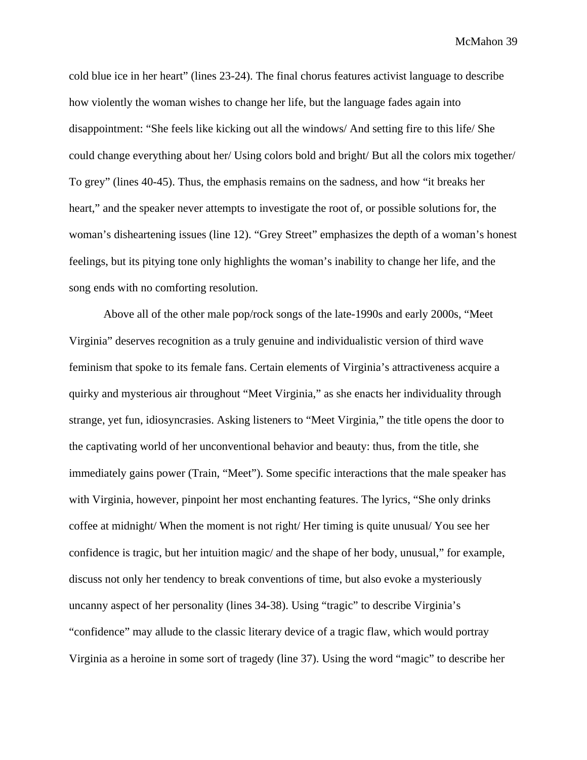cold blue ice in her heart" (lines 23-24). The final chorus features activist language to describe how violently the woman wishes to change her life, but the language fades again into disappointment: "She feels like kicking out all the windows/ And setting fire to this life/ She could change everything about her/ Using colors bold and bright/ But all the colors mix together/ To grey" (lines 40-45). Thus, the emphasis remains on the sadness, and how "it breaks her heart," and the speaker never attempts to investigate the root of, or possible solutions for, the woman's disheartening issues (line 12). "Grey Street" emphasizes the depth of a woman's honest feelings, but its pitying tone only highlights the woman's inability to change her life, and the song ends with no comforting resolution.

Above all of the other male pop/rock songs of the late-1990s and early 2000s, "Meet Virginia" deserves recognition as a truly genuine and individualistic version of third wave feminism that spoke to its female fans. Certain elements of Virginia's attractiveness acquire a quirky and mysterious air throughout "Meet Virginia," as she enacts her individuality through strange, yet fun, idiosyncrasies. Asking listeners to "Meet Virginia," the title opens the door to the captivating world of her unconventional behavior and beauty: thus, from the title, she immediately gains power (Train, "Meet"). Some specific interactions that the male speaker has with Virginia, however, pinpoint her most enchanting features. The lyrics, "She only drinks coffee at midnight/ When the moment is not right/ Her timing is quite unusual/ You see her confidence is tragic, but her intuition magic/ and the shape of her body, unusual," for example, discuss not only her tendency to break conventions of time, but also evoke a mysteriously uncanny aspect of her personality (lines 34-38). Using "tragic" to describe Virginia's "confidence" may allude to the classic literary device of a tragic flaw, which would portray Virginia as a heroine in some sort of tragedy (line 37). Using the word "magic" to describe her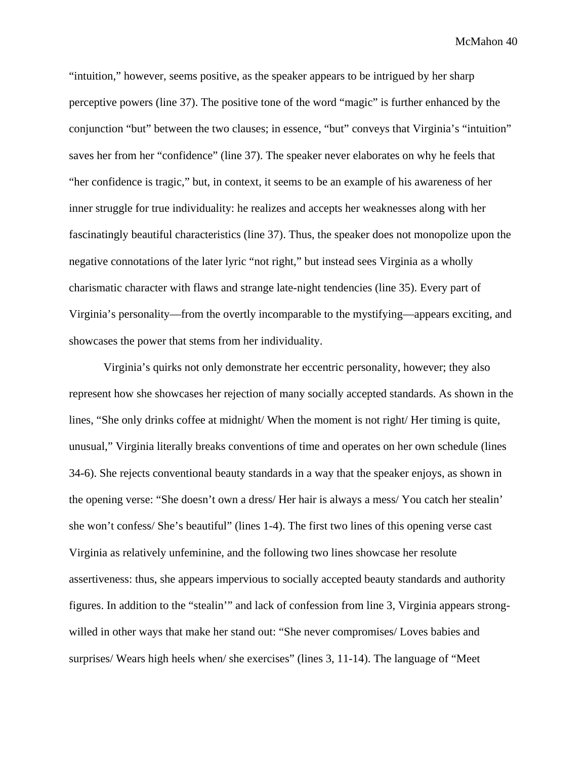"intuition," however, seems positive, as the speaker appears to be intrigued by her sharp perceptive powers (line 37). The positive tone of the word "magic" is further enhanced by the conjunction "but" between the two clauses; in essence, "but" conveys that Virginia's "intuition" saves her from her "confidence" (line 37). The speaker never elaborates on why he feels that "her confidence is tragic," but, in context, it seems to be an example of his awareness of her inner struggle for true individuality: he realizes and accepts her weaknesses along with her fascinatingly beautiful characteristics (line 37). Thus, the speaker does not monopolize upon the negative connotations of the later lyric "not right," but instead sees Virginia as a wholly charismatic character with flaws and strange late-night tendencies (line 35). Every part of Virginia's personality—from the overtly incomparable to the mystifying—appears exciting, and showcases the power that stems from her individuality.

Virginia's quirks not only demonstrate her eccentric personality, however; they also represent how she showcases her rejection of many socially accepted standards. As shown in the lines, "She only drinks coffee at midnight/ When the moment is not right/ Her timing is quite, unusual," Virginia literally breaks conventions of time and operates on her own schedule (lines 34-6). She rejects conventional beauty standards in a way that the speaker enjoys, as shown in the opening verse: "She doesn't own a dress/ Her hair is always a mess/ You catch her stealin' she won't confess/ She's beautiful" (lines 1-4). The first two lines of this opening verse cast Virginia as relatively unfeminine, and the following two lines showcase her resolute assertiveness: thus, she appears impervious to socially accepted beauty standards and authority figures. In addition to the "stealin'" and lack of confession from line 3, Virginia appears strongwilled in other ways that make her stand out: "She never compromises/ Loves babies and surprises/ Wears high heels when/ she exercises" (lines 3, 11-14). The language of "Meet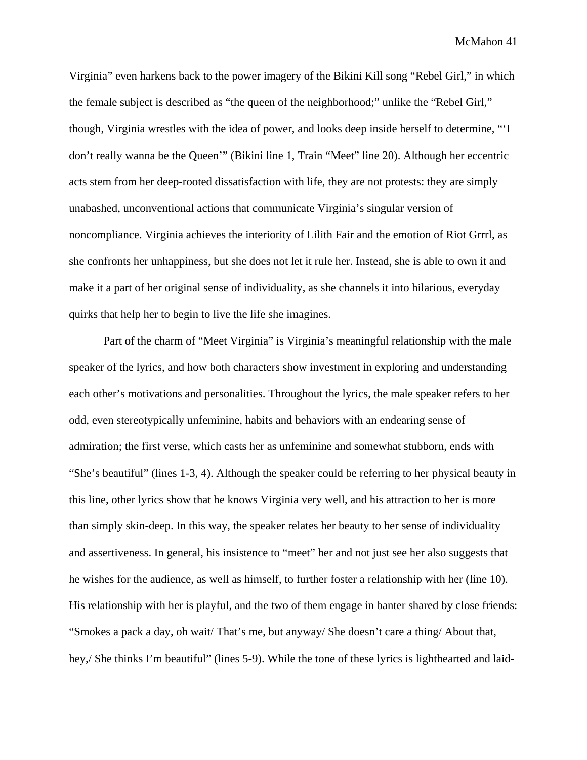Virginia" even harkens back to the power imagery of the Bikini Kill song "Rebel Girl," in which the female subject is described as "the queen of the neighborhood;" unlike the "Rebel Girl," though, Virginia wrestles with the idea of power, and looks deep inside herself to determine, "'I don't really wanna be the Queen'" (Bikini line 1, Train "Meet" line 20). Although her eccentric acts stem from her deep-rooted dissatisfaction with life, they are not protests: they are simply unabashed, unconventional actions that communicate Virginia's singular version of noncompliance. Virginia achieves the interiority of Lilith Fair and the emotion of Riot Grrrl, as she confronts her unhappiness, but she does not let it rule her. Instead, she is able to own it and make it a part of her original sense of individuality, as she channels it into hilarious, everyday quirks that help her to begin to live the life she imagines.

Part of the charm of "Meet Virginia" is Virginia's meaningful relationship with the male speaker of the lyrics, and how both characters show investment in exploring and understanding each other's motivations and personalities. Throughout the lyrics, the male speaker refers to her odd, even stereotypically unfeminine, habits and behaviors with an endearing sense of admiration; the first verse, which casts her as unfeminine and somewhat stubborn, ends with "She's beautiful" (lines 1-3, 4). Although the speaker could be referring to her physical beauty in this line, other lyrics show that he knows Virginia very well, and his attraction to her is more than simply skin-deep. In this way, the speaker relates her beauty to her sense of individuality and assertiveness. In general, his insistence to "meet" her and not just see her also suggests that he wishes for the audience, as well as himself, to further foster a relationship with her (line 10). His relationship with her is playful, and the two of them engage in banter shared by close friends: "Smokes a pack a day, oh wait/ That's me, but anyway/ She doesn't care a thing/ About that, hey, She thinks I'm beautiful" (lines 5-9). While the tone of these lyrics is lighthearted and laid-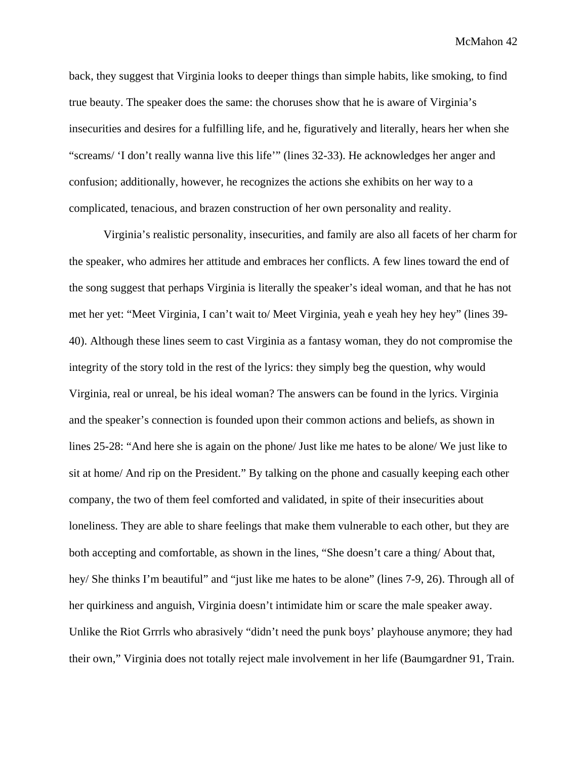back, they suggest that Virginia looks to deeper things than simple habits, like smoking, to find true beauty. The speaker does the same: the choruses show that he is aware of Virginia's insecurities and desires for a fulfilling life, and he, figuratively and literally, hears her when she "screams/ 'I don't really wanna live this life'" (lines 32-33). He acknowledges her anger and confusion; additionally, however, he recognizes the actions she exhibits on her way to a complicated, tenacious, and brazen construction of her own personality and reality.

Virginia's realistic personality, insecurities, and family are also all facets of her charm for the speaker, who admires her attitude and embraces her conflicts. A few lines toward the end of the song suggest that perhaps Virginia is literally the speaker's ideal woman, and that he has not met her yet: "Meet Virginia, I can't wait to/ Meet Virginia, yeah e yeah hey hey hey" (lines 39- 40). Although these lines seem to cast Virginia as a fantasy woman, they do not compromise the integrity of the story told in the rest of the lyrics: they simply beg the question, why would Virginia, real or unreal, be his ideal woman? The answers can be found in the lyrics. Virginia and the speaker's connection is founded upon their common actions and beliefs, as shown in lines 25-28: "And here she is again on the phone/ Just like me hates to be alone/ We just like to sit at home/ And rip on the President." By talking on the phone and casually keeping each other company, the two of them feel comforted and validated, in spite of their insecurities about loneliness. They are able to share feelings that make them vulnerable to each other, but they are both accepting and comfortable, as shown in the lines, "She doesn't care a thing/ About that, hey/ She thinks I'm beautiful" and "just like me hates to be alone" (lines 7-9, 26). Through all of her quirkiness and anguish, Virginia doesn't intimidate him or scare the male speaker away. Unlike the Riot Grrrls who abrasively "didn't need the punk boys' playhouse anymore; they had their own," Virginia does not totally reject male involvement in her life (Baumgardner 91, Train.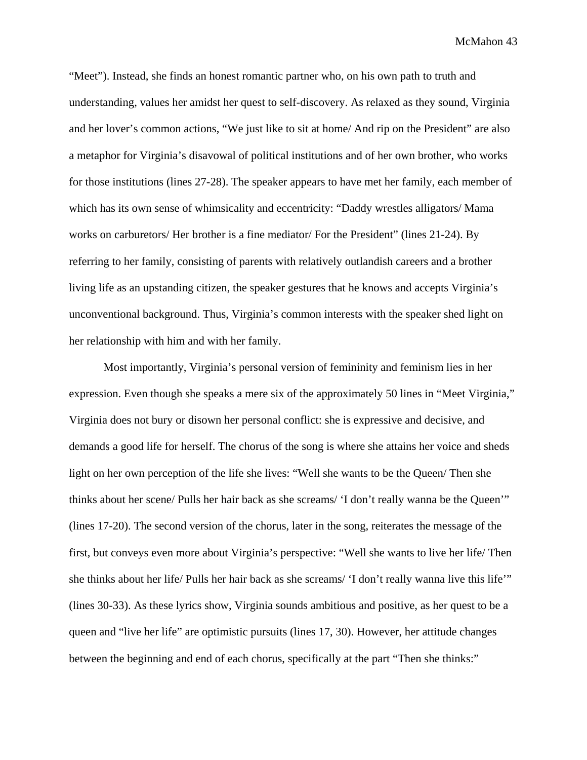"Meet"). Instead, she finds an honest romantic partner who, on his own path to truth and understanding, values her amidst her quest to self-discovery. As relaxed as they sound, Virginia and her lover's common actions, "We just like to sit at home/ And rip on the President" are also a metaphor for Virginia's disavowal of political institutions and of her own brother, who works for those institutions (lines 27-28). The speaker appears to have met her family, each member of which has its own sense of whimsicality and eccentricity: "Daddy wrestles alligators/ Mama works on carburetors/ Her brother is a fine mediator/ For the President" (lines 21-24). By referring to her family, consisting of parents with relatively outlandish careers and a brother living life as an upstanding citizen, the speaker gestures that he knows and accepts Virginia's unconventional background. Thus, Virginia's common interests with the speaker shed light on her relationship with him and with her family.

Most importantly, Virginia's personal version of femininity and feminism lies in her expression. Even though she speaks a mere six of the approximately 50 lines in "Meet Virginia," Virginia does not bury or disown her personal conflict: she is expressive and decisive, and demands a good life for herself. The chorus of the song is where she attains her voice and sheds light on her own perception of the life she lives: "Well she wants to be the Queen/ Then she thinks about her scene/ Pulls her hair back as she screams/ 'I don't really wanna be the Queen'" (lines 17-20). The second version of the chorus, later in the song, reiterates the message of the first, but conveys even more about Virginia's perspective: "Well she wants to live her life/ Then she thinks about her life/ Pulls her hair back as she screams/ 'I don't really wanna live this life'" (lines 30-33). As these lyrics show, Virginia sounds ambitious and positive, as her quest to be a queen and "live her life" are optimistic pursuits (lines 17, 30). However, her attitude changes between the beginning and end of each chorus, specifically at the part "Then she thinks:"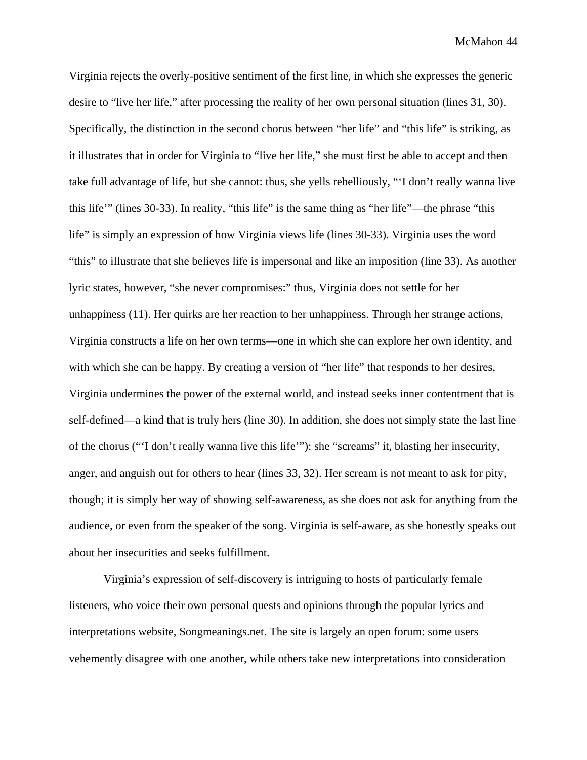Virginia rejects the overly-positive sentiment of the first line, in which she expresses the generic desire to "live her life," after processing the reality of her own personal situation (lines 31, 30). Specifically, the distinction in the second chorus between "her life" and "this life" is striking, as it illustrates that in order for Virginia to "live her life," she must first be able to accept and then take full advantage of life, but she cannot: thus, she yells rebelliously, "'I don't really wanna live this life'" (lines 30-33). In reality, "this life" is the same thing as "her life"—the phrase "this life" is simply an expression of how Virginia views life (lines 30-33). Virginia uses the word "this" to illustrate that she believes life is impersonal and like an imposition (line 33). As another lyric states, however, "she never compromises:" thus, Virginia does not settle for her unhappiness (11). Her quirks are her reaction to her unhappiness. Through her strange actions, Virginia constructs a life on her own terms—one in which she can explore her own identity, and with which she can be happy. By creating a version of "her life" that responds to her desires, Virginia undermines the power of the external world, and instead seeks inner contentment that is self-defined—a kind that is truly hers (line 30). In addition, she does not simply state the last line of the chorus ("'I don't really wanna live this life'"): she "screams" it, blasting her insecurity, anger, and anguish out for others to hear (lines 33, 32). Her scream is not meant to ask for pity, though; it is simply her way of showing self-awareness, as she does not ask for anything from the audience, or even from the speaker of the song. Virginia is self-aware, as she honestly speaks out about her insecurities and seeks fulfillment.

Virginia's expression of self-discovery is intriguing to hosts of particularly female listeners, who voice their own personal quests and opinions through the popular lyrics and interpretations website, Songmeanings.net. The site is largely an open forum: some users vehemently disagree with one another, while others take new interpretations into consideration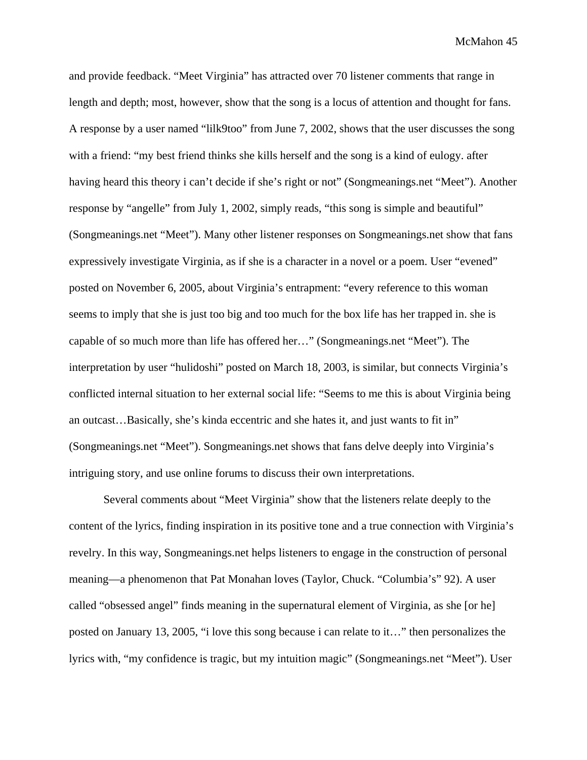and provide feedback. "Meet Virginia" has attracted over 70 listener comments that range in length and depth; most, however, show that the song is a locus of attention and thought for fans. A response by a user named "lilk9too" from June 7, 2002, shows that the user discusses the song with a friend: "my best friend thinks she kills herself and the song is a kind of eulogy. after having heard this theory i can't decide if she's right or not" (Songmeanings.net "Meet"). Another response by "angelle" from July 1, 2002, simply reads, "this song is simple and beautiful" (Songmeanings.net "Meet"). Many other listener responses on Songmeanings.net show that fans expressively investigate Virginia, as if she is a character in a novel or a poem. User "evened" posted on November 6, 2005, about Virginia's entrapment: "every reference to this woman seems to imply that she is just too big and too much for the box life has her trapped in. she is capable of so much more than life has offered her…" (Songmeanings.net "Meet"). The interpretation by user "hulidoshi" posted on March 18, 2003, is similar, but connects Virginia's conflicted internal situation to her external social life: "Seems to me this is about Virginia being an outcast…Basically, she's kinda eccentric and she hates it, and just wants to fit in" (Songmeanings.net "Meet"). Songmeanings.net shows that fans delve deeply into Virginia's intriguing story, and use online forums to discuss their own interpretations.

Several comments about "Meet Virginia" show that the listeners relate deeply to the content of the lyrics, finding inspiration in its positive tone and a true connection with Virginia's revelry. In this way, Songmeanings.net helps listeners to engage in the construction of personal meaning—a phenomenon that Pat Monahan loves (Taylor, Chuck. "Columbia's" 92). A user called "obsessed angel" finds meaning in the supernatural element of Virginia, as she [or he] posted on January 13, 2005, "i love this song because i can relate to it…" then personalizes the lyrics with, "my confidence is tragic, but my intuition magic" (Songmeanings.net "Meet"). User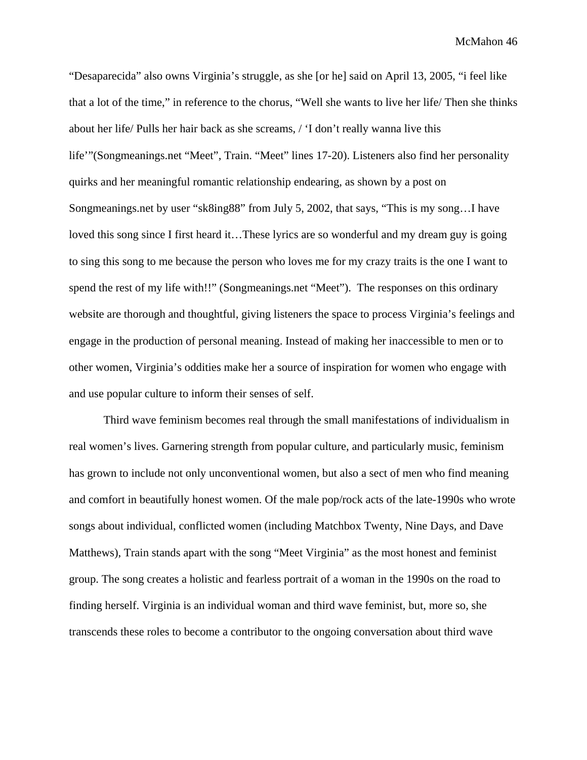"Desaparecida" also owns Virginia's struggle, as she [or he] said on April 13, 2005, "i feel like that a lot of the time," in reference to the chorus, "Well she wants to live her life/ Then she thinks about her life/ Pulls her hair back as she screams, / 'I don't really wanna live this life'"(Songmeanings.net "Meet", Train. "Meet" lines 17-20). Listeners also find her personality quirks and her meaningful romantic relationship endearing, as shown by a post on Songmeanings.net by user "sk8ing88" from July 5, 2002, that says, "This is my song…I have loved this song since I first heard it…These lyrics are so wonderful and my dream guy is going to sing this song to me because the person who loves me for my crazy traits is the one I want to spend the rest of my life with!!" (Songmeanings.net "Meet"). The responses on this ordinary website are thorough and thoughtful, giving listeners the space to process Virginia's feelings and engage in the production of personal meaning. Instead of making her inaccessible to men or to other women, Virginia's oddities make her a source of inspiration for women who engage with and use popular culture to inform their senses of self.

Third wave feminism becomes real through the small manifestations of individualism in real women's lives. Garnering strength from popular culture, and particularly music, feminism has grown to include not only unconventional women, but also a sect of men who find meaning and comfort in beautifully honest women. Of the male pop/rock acts of the late-1990s who wrote songs about individual, conflicted women (including Matchbox Twenty, Nine Days, and Dave Matthews), Train stands apart with the song "Meet Virginia" as the most honest and feminist group. The song creates a holistic and fearless portrait of a woman in the 1990s on the road to finding herself. Virginia is an individual woman and third wave feminist, but, more so, she transcends these roles to become a contributor to the ongoing conversation about third wave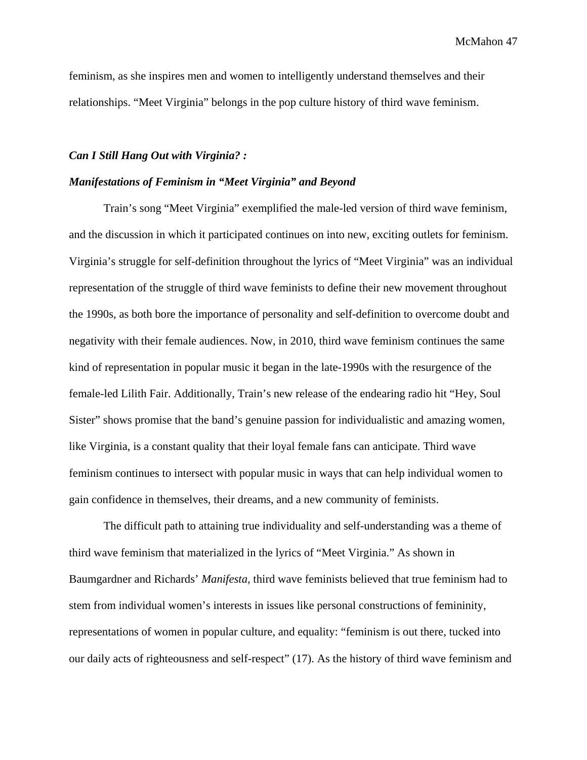feminism, as she inspires men and women to intelligently understand themselves and their relationships. "Meet Virginia" belongs in the pop culture history of third wave feminism.

### *Can I Still Hang Out with Virginia? :*

## *Manifestations of Feminism in "Meet Virginia" and Beyond*

 Train's song "Meet Virginia" exemplified the male-led version of third wave feminism, and the discussion in which it participated continues on into new, exciting outlets for feminism. Virginia's struggle for self-definition throughout the lyrics of "Meet Virginia" was an individual representation of the struggle of third wave feminists to define their new movement throughout the 1990s, as both bore the importance of personality and self-definition to overcome doubt and negativity with their female audiences. Now, in 2010, third wave feminism continues the same kind of representation in popular music it began in the late-1990s with the resurgence of the female-led Lilith Fair. Additionally, Train's new release of the endearing radio hit "Hey, Soul Sister" shows promise that the band's genuine passion for individualistic and amazing women, like Virginia, is a constant quality that their loyal female fans can anticipate. Third wave feminism continues to intersect with popular music in ways that can help individual women to gain confidence in themselves, their dreams, and a new community of feminists.

The difficult path to attaining true individuality and self-understanding was a theme of third wave feminism that materialized in the lyrics of "Meet Virginia." As shown in Baumgardner and Richards' *Manifesta,* third wave feminists believed that true feminism had to stem from individual women's interests in issues like personal constructions of femininity, representations of women in popular culture, and equality: "feminism is out there, tucked into our daily acts of righteousness and self-respect" (17). As the history of third wave feminism and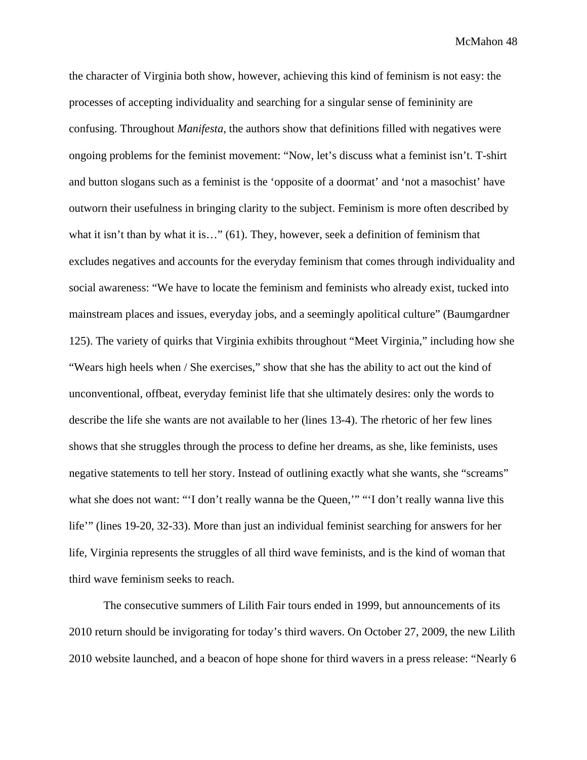the character of Virginia both show, however, achieving this kind of feminism is not easy: the processes of accepting individuality and searching for a singular sense of femininity are confusing. Throughout *Manifesta*, the authors show that definitions filled with negatives were ongoing problems for the feminist movement: "Now, let's discuss what a feminist isn't. T-shirt and button slogans such as a feminist is the 'opposite of a doormat' and 'not a masochist' have outworn their usefulness in bringing clarity to the subject. Feminism is more often described by what it isn't than by what it is..." (61). They, however, seek a definition of feminism that excludes negatives and accounts for the everyday feminism that comes through individuality and social awareness: "We have to locate the feminism and feminists who already exist, tucked into mainstream places and issues, everyday jobs, and a seemingly apolitical culture" (Baumgardner 125). The variety of quirks that Virginia exhibits throughout "Meet Virginia," including how she "Wears high heels when / She exercises," show that she has the ability to act out the kind of unconventional, offbeat, everyday feminist life that she ultimately desires: only the words to describe the life she wants are not available to her (lines 13-4). The rhetoric of her few lines shows that she struggles through the process to define her dreams, as she, like feminists, uses negative statements to tell her story. Instead of outlining exactly what she wants, she "screams" what she does not want: "'I don't really wanna be the Queen,'" "'I don't really wanna live this life'" (lines 19-20, 32-33). More than just an individual feminist searching for answers for her life, Virginia represents the struggles of all third wave feminists, and is the kind of woman that third wave feminism seeks to reach.

The consecutive summers of Lilith Fair tours ended in 1999, but announcements of its 2010 return should be invigorating for today's third wavers. On October 27, 2009, the new Lilith 2010 website launched, and a beacon of hope shone for third wavers in a press release: "Nearly 6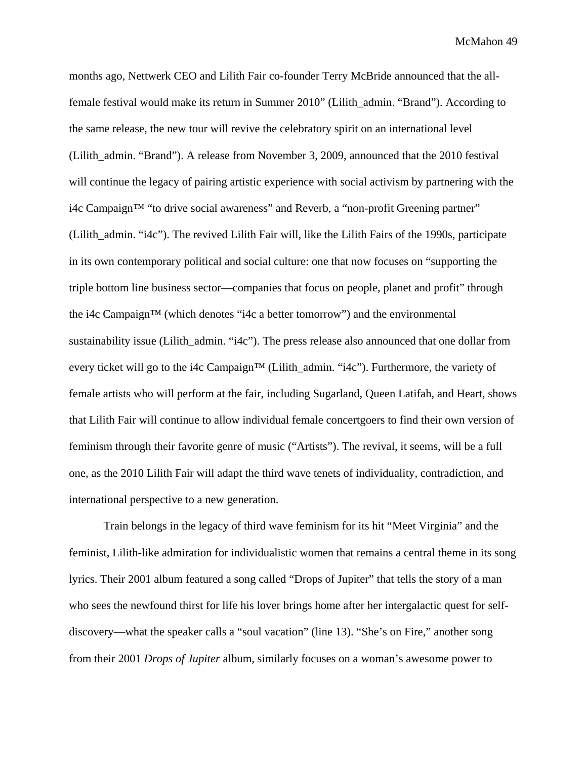months ago, Nettwerk CEO and Lilith Fair co-founder Terry McBride announced that the allfemale festival would make its return in Summer 2010" (Lilith\_admin. "Brand"). According to the same release, the new tour will revive the celebratory spirit on an international level (Lilith\_admin. "Brand"). A release from November 3, 2009, announced that the 2010 festival will continue the legacy of pairing artistic experience with social activism by partnering with the i4c Campaign™ "to drive social awareness" and Reverb, a "non-profit Greening partner" (Lilith\_admin. "i4c"). The revived Lilith Fair will, like the Lilith Fairs of the 1990s, participate in its own contemporary political and social culture: one that now focuses on "supporting the triple bottom line business sector—companies that focus on people, planet and profit" through the i4c Campaign™ (which denotes "i4c a better tomorrow") and the environmental sustainability issue (Lilith\_admin. "i4c"). The press release also announced that one dollar from every ticket will go to the i4c Campaign<sup>™</sup> (Lilith\_admin. "i4c"). Furthermore, the variety of female artists who will perform at the fair, including Sugarland, Queen Latifah, and Heart, shows that Lilith Fair will continue to allow individual female concertgoers to find their own version of feminism through their favorite genre of music ("Artists"). The revival, it seems, will be a full one, as the 2010 Lilith Fair will adapt the third wave tenets of individuality, contradiction, and international perspective to a new generation.

Train belongs in the legacy of third wave feminism for its hit "Meet Virginia" and the feminist, Lilith-like admiration for individualistic women that remains a central theme in its song lyrics. Their 2001 album featured a song called "Drops of Jupiter" that tells the story of a man who sees the newfound thirst for life his lover brings home after her intergalactic quest for selfdiscovery—what the speaker calls a "soul vacation" (line 13). "She's on Fire," another song from their 2001 *Drops of Jupiter* album, similarly focuses on a woman's awesome power to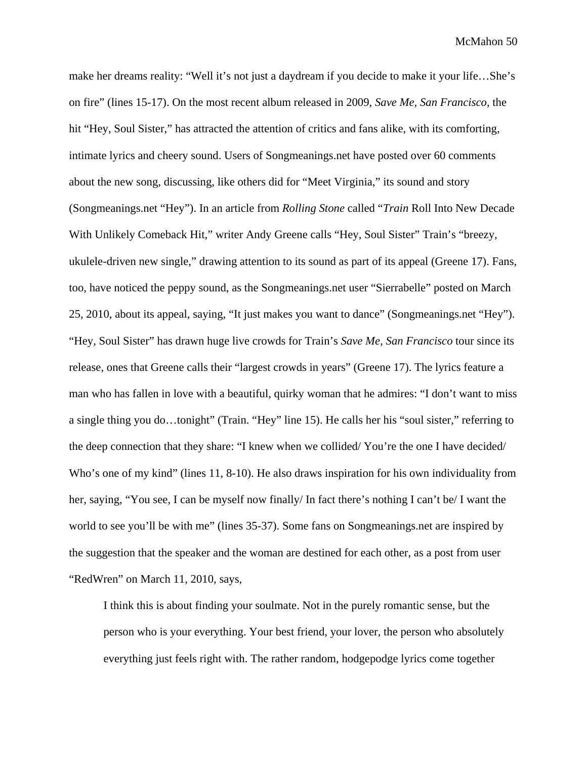make her dreams reality: "Well it's not just a daydream if you decide to make it your life…She's on fire" (lines 15-17). On the most recent album released in 2009, *Save Me, San Francisco*, the hit "Hey, Soul Sister," has attracted the attention of critics and fans alike, with its comforting, intimate lyrics and cheery sound. Users of Songmeanings.net have posted over 60 comments about the new song, discussing, like others did for "Meet Virginia," its sound and story (Songmeanings.net "Hey"). In an article from *Rolling Stone* called "*Train* Roll Into New Decade With Unlikely Comeback Hit," writer Andy Greene calls "Hey, Soul Sister" Train's "breezy, ukulele-driven new single," drawing attention to its sound as part of its appeal (Greene 17). Fans, too, have noticed the peppy sound, as the Songmeanings.net user "Sierrabelle" posted on March 25, 2010, about its appeal, saying, "It just makes you want to dance" (Songmeanings.net "Hey"). "Hey, Soul Sister" has drawn huge live crowds for Train's *Save Me, San Francisco* tour since its release, ones that Greene calls their "largest crowds in years" (Greene 17). The lyrics feature a man who has fallen in love with a beautiful, quirky woman that he admires: "I don't want to miss a single thing you do…tonight" (Train. "Hey" line 15). He calls her his "soul sister," referring to the deep connection that they share: "I knew when we collided/ You're the one I have decided/ Who's one of my kind" (lines 11, 8-10). He also draws inspiration for his own individuality from her, saying, "You see, I can be myself now finally/ In fact there's nothing I can't be/ I want the world to see you'll be with me" (lines 35-37). Some fans on Songmeanings.net are inspired by the suggestion that the speaker and the woman are destined for each other, as a post from user "RedWren" on March 11, 2010, says,

I think this is about finding your soulmate. Not in the purely romantic sense, but the person who is your everything. Your best friend, your lover, the person who absolutely everything just feels right with. The rather random, hodgepodge lyrics come together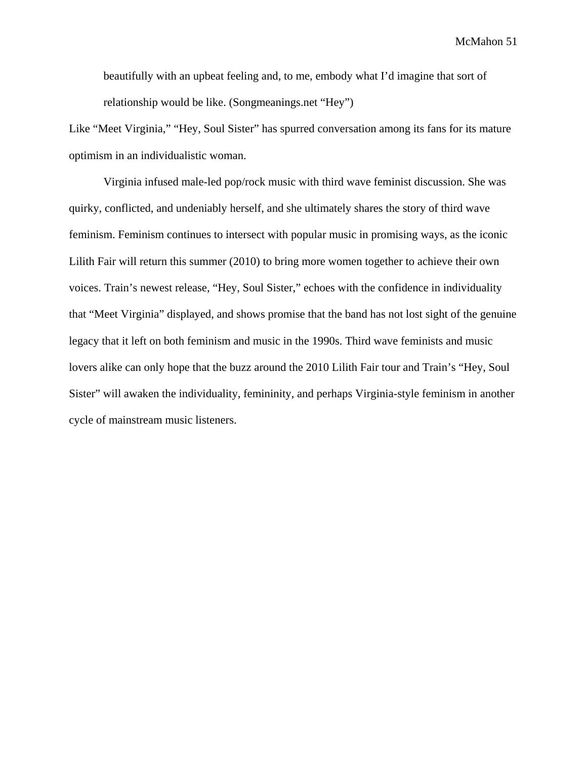beautifully with an upbeat feeling and, to me, embody what I'd imagine that sort of relationship would be like. (Songmeanings.net "Hey")

Like "Meet Virginia," "Hey, Soul Sister" has spurred conversation among its fans for its mature optimism in an individualistic woman.

 Virginia infused male-led pop/rock music with third wave feminist discussion. She was quirky, conflicted, and undeniably herself, and she ultimately shares the story of third wave feminism. Feminism continues to intersect with popular music in promising ways, as the iconic Lilith Fair will return this summer (2010) to bring more women together to achieve their own voices. Train's newest release, "Hey, Soul Sister," echoes with the confidence in individuality that "Meet Virginia" displayed, and shows promise that the band has not lost sight of the genuine legacy that it left on both feminism and music in the 1990s. Third wave feminists and music lovers alike can only hope that the buzz around the 2010 Lilith Fair tour and Train's "Hey, Soul Sister" will awaken the individuality, femininity, and perhaps Virginia-style feminism in another cycle of mainstream music listeners.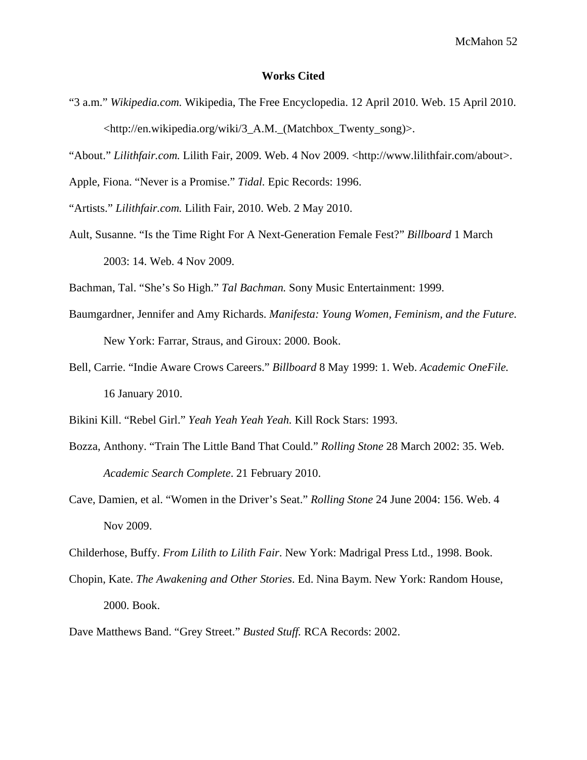#### **Works Cited**

- "3 a.m." *Wikipedia.com.* Wikipedia, The Free Encyclopedia. 12 April 2010. Web. 15 April 2010. <http://en.wikipedia.org/wiki/3\_A.M.\_(Matchbox\_Twenty\_song)>.
- "About." *Lilithfair.com.* Lilith Fair, 2009. Web. 4 Nov 2009. <http://www.lilithfair.com/about>.
- Apple, Fiona. "Never is a Promise." *Tidal.* Epic Records: 1996.
- "Artists." *Lilithfair.com.* Lilith Fair, 2010. Web. 2 May 2010.
- Ault, Susanne. "Is the Time Right For A Next-Generation Female Fest?" *Billboard* 1 March 2003: 14. Web. 4 Nov 2009.

Bachman, Tal. "She's So High." *Tal Bachman.* Sony Music Entertainment: 1999.

- Baumgardner, Jennifer and Amy Richards. *Manifesta: Young Women, Feminism, and the Future.* New York: Farrar, Straus, and Giroux: 2000. Book.
- Bell, Carrie. "Indie Aware Crows Careers." *Billboard* 8 May 1999: 1. Web. *Academic OneFile.*  16 January 2010.
- Bikini Kill. "Rebel Girl." *Yeah Yeah Yeah Yeah.* Kill Rock Stars: 1993.
- Bozza, Anthony. "Train The Little Band That Could." *Rolling Stone* 28 March 2002: 35. Web. *Academic Search Complete*. 21 February 2010.
- Cave, Damien, et al. "Women in the Driver's Seat." *Rolling Stone* 24 June 2004: 156. Web. 4 Nov 2009.
- Childerhose, Buffy. *From Lilith to Lilith Fair*. New York: Madrigal Press Ltd., 1998. Book.
- Chopin, Kate. *The Awakening and Other Stories*. Ed. Nina Baym. New York: Random House, 2000. Book.
- Dave Matthews Band. "Grey Street." *Busted Stuff.* RCA Records: 2002.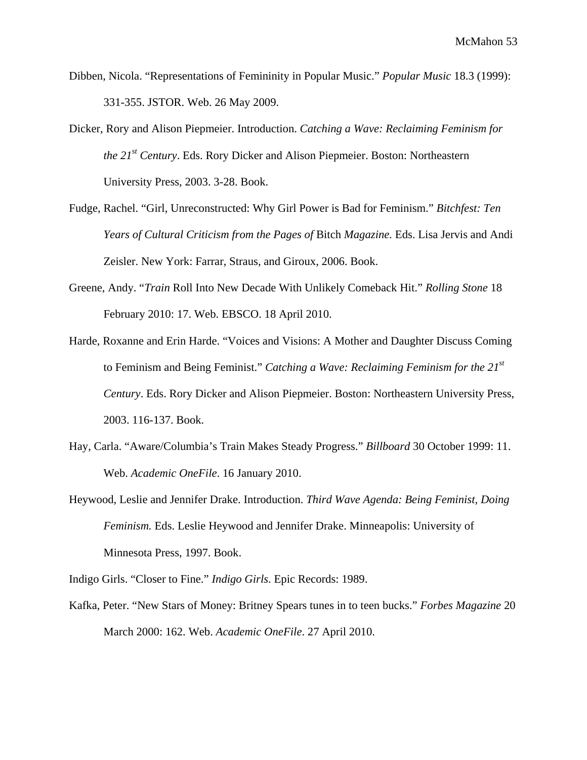- Dibben, Nicola. "Representations of Femininity in Popular Music." *Popular Music* 18.3 (1999): 331-355. JSTOR. Web. 26 May 2009.
- Dicker, Rory and Alison Piepmeier. Introduction. *Catching a Wave: Reclaiming Feminism for the 21st Century*. Eds. Rory Dicker and Alison Piepmeier. Boston: Northeastern University Press, 2003. 3-28. Book.
- Fudge, Rachel. "Girl, Unreconstructed: Why Girl Power is Bad for Feminism." *Bitchfest: Ten Years of Cultural Criticism from the Pages of* Bitch *Magazine.* Eds. Lisa Jervis and Andi Zeisler. New York: Farrar, Straus, and Giroux, 2006. Book.
- Greene, Andy. "*Train* Roll Into New Decade With Unlikely Comeback Hit." *Rolling Stone* 18 February 2010: 17. Web. EBSCO. 18 April 2010.
- Harde, Roxanne and Erin Harde. "Voices and Visions: A Mother and Daughter Discuss Coming to Feminism and Being Feminist." *Catching a Wave: Reclaiming Feminism for the 21st Century*. Eds. Rory Dicker and Alison Piepmeier. Boston: Northeastern University Press, 2003. 116-137. Book.
- Hay, Carla. "Aware/Columbia's Train Makes Steady Progress." *Billboard* 30 October 1999: 11. Web. *Academic OneFile*. 16 January 2010.
- Heywood, Leslie and Jennifer Drake. Introduction. *Third Wave Agenda: Being Feminist, Doing Feminism.* Eds. Leslie Heywood and Jennifer Drake. Minneapolis: University of Minnesota Press, 1997. Book.

Indigo Girls. "Closer to Fine." *Indigo Girls*. Epic Records: 1989.

Kafka, Peter. "New Stars of Money: Britney Spears tunes in to teen bucks." *Forbes Magazine* 20 March 2000: 162. Web. *Academic OneFile*. 27 April 2010.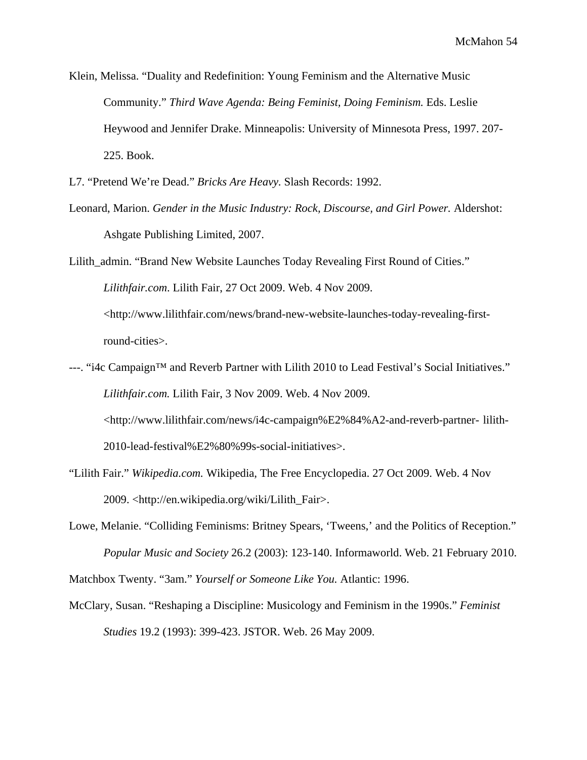Klein, Melissa. "Duality and Redefinition: Young Feminism and the Alternative Music Community." *Third Wave Agenda: Being Feminist, Doing Feminism.* Eds. Leslie Heywood and Jennifer Drake. Minneapolis: University of Minnesota Press, 1997. 207- 225. Book.

L7. "Pretend We're Dead." *Bricks Are Heavy.* Slash Records: 1992.

Leonard, Marion. *Gender in the Music Industry: Rock, Discourse, and Girl Power.* Aldershot: Ashgate Publishing Limited, 2007.

Lilith\_admin. "Brand New Website Launches Today Revealing First Round of Cities." *Lilithfair.com*. Lilith Fair, 27 Oct 2009. Web. 4 Nov 2009. <http://www.lilithfair.com/news/brand-new-website-launches-today-revealing-firstround-cities>.

- ---. "i4c Campaign™ and Reverb Partner with Lilith 2010 to Lead Festival's Social Initiatives." *Lilithfair.com.* Lilith Fair, 3 Nov 2009. Web. 4 Nov 2009. <http://www.lilithfair.com/news/i4c-campaign%E2%84%A2-and-reverb-partner- lilith-2010-lead-festival%E2%80%99s-social-initiatives>.
- "Lilith Fair." *Wikipedia.com.* Wikipedia, The Free Encyclopedia. 27 Oct 2009. Web. 4 Nov 2009. <http://en.wikipedia.org/wiki/Lilith\_Fair>.

Lowe, Melanie. "Colliding Feminisms: Britney Spears, 'Tweens,' and the Politics of Reception." *Popular Music and Society* 26.2 (2003): 123-140. Informaworld. Web. 21 February 2010.

Matchbox Twenty. "3am." *Yourself or Someone Like You.* Atlantic: 1996.

McClary, Susan. "Reshaping a Discipline: Musicology and Feminism in the 1990s." *Feminist Studies* 19.2 (1993): 399-423. JSTOR. Web. 26 May 2009.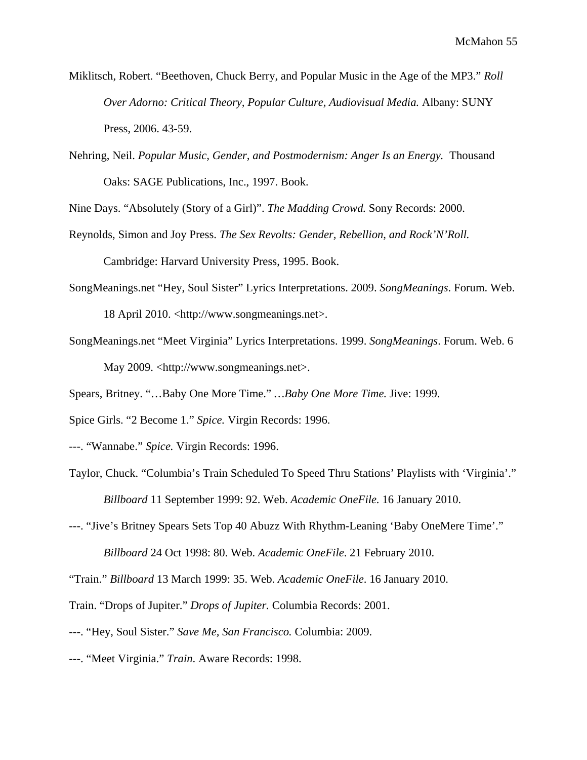- Miklitsch, Robert. "Beethoven, Chuck Berry, and Popular Music in the Age of the MP3." *Roll Over Adorno: Critical Theory, Popular Culture, Audiovisual Media.* Albany: SUNY Press, 2006. 43-59.
- Nehring, Neil. *Popular Music, Gender, and Postmodernism: Anger Is an Energy.* Thousand Oaks: SAGE Publications, Inc., 1997. Book.
- Nine Days. "Absolutely (Story of a Girl)". *The Madding Crowd.* Sony Records: 2000.
- Reynolds, Simon and Joy Press. *The Sex Revolts: Gender, Rebellion, and Rock'N'Roll.* Cambridge: Harvard University Press, 1995. Book.
- SongMeanings.net "Hey, Soul Sister" Lyrics Interpretations. 2009. *SongMeanings*. Forum. Web. 18 April 2010. <http://www.songmeanings.net>.
- SongMeanings.net "Meet Virginia" Lyrics Interpretations. 1999. *SongMeanings*. Forum. Web. 6 May 2009. <http://www.songmeanings.net>.
- Spears, Britney. "…Baby One More Time." *…Baby One More Time.* Jive: 1999.
- Spice Girls. "2 Become 1." *Spice.* Virgin Records: 1996.
- ---. "Wannabe." *Spice.* Virgin Records: 1996.
- Taylor, Chuck. "Columbia's Train Scheduled To Speed Thru Stations' Playlists with 'Virginia'." *Billboard* 11 September 1999: 92. Web. *Academic OneFile.* 16 January 2010.
- ---. "Jive's Britney Spears Sets Top 40 Abuzz With Rhythm-Leaning 'Baby OneMere Time'." *Billboard* 24 Oct 1998: 80. Web. *Academic OneFile*. 21 February 2010.
- "Train." *Billboard* 13 March 1999: 35. Web. *Academic OneFile*. 16 January 2010.
- Train. "Drops of Jupiter." *Drops of Jupiter.* Columbia Records: 2001.
- ---. "Hey, Soul Sister." *Save Me, San Francisco.* Columbia: 2009.
- ---. "Meet Virginia." *Train*. Aware Records: 1998.